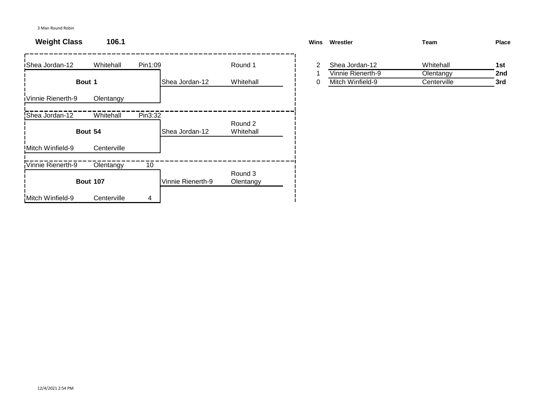3 Man Round Robin

## **Weight Class 106.1**

| iShea Jordan-12         | Whitehall       | Pin1:09 |                   | Round 1              |   | 2 | Shea Jordan-12    | Whitehall   | 1st |
|-------------------------|-----------------|---------|-------------------|----------------------|---|---|-------------------|-------------|-----|
|                         |                 |         |                   |                      |   |   | Vinnie Rienerth-9 | Olentangy   | 2nc |
|                         | Bout 1          |         | Shea Jordan-12    | Whitehall            | 0 |   | Mitch Winfield-9  | Centerville | 3rd |
| Vinnie Rienerth-9       | Olentangy       |         |                   |                      |   |   |                   |             |     |
| Shea Jordan-12          | Whitehall       | Pin3:32 |                   |                      |   |   |                   |             |     |
|                         | Bout 54         |         | Shea Jordan-12    | Round 2<br>Whitehall |   |   |                   |             |     |
| <b>Mitch Winfield-9</b> | Centerville     |         |                   |                      |   |   |                   |             |     |
| Vinnie Rienerth-9       | Olentangy       | 10      |                   |                      |   |   |                   |             |     |
|                         | <b>Bout 107</b> |         | Vinnie Rienerth-9 | Round 3<br>Olentangy |   |   |                   |             |     |
| Mitch Winfield-9        | Centerville     | 4       |                   |                      |   |   |                   |             |     |

| Wins<br>Wrestler |                   | Team        | Place |
|------------------|-------------------|-------------|-------|
| 2                | Shea Jordan-12    | Whitehall   | 1st   |
|                  | Vinnie Rienerth-9 | Olentangy   | 2nd   |
| 0                | Mitch Winfield-9  | Centerville | 3rd   |
|                  |                   |             |       |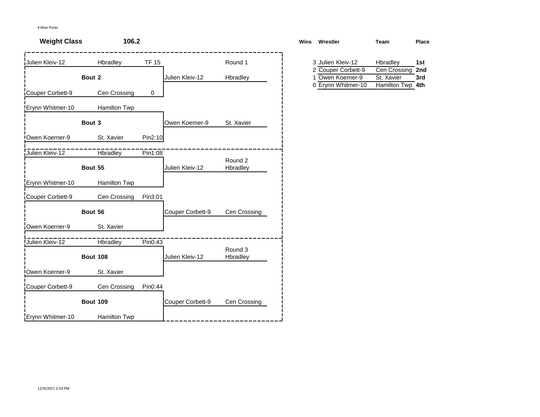| <b>Weight Class</b> | 106.2           |              |                  |                     | <b>Wins</b> | Wrestler                                                     | Team                       | Place      |
|---------------------|-----------------|--------------|------------------|---------------------|-------------|--------------------------------------------------------------|----------------------------|------------|
| Julien Kleiv-12     | Hbradley        | <b>TF 15</b> |                  | Round 1             |             | 3 Julien Kleiv-12                                            | Hbradley                   | 1st        |
|                     | Bout 2          |              | Julien Kleiv-12  | Hbradley            |             | 2 Couper Corbett-9<br>1 Owen Koerner-9<br>0 Erynn Whitmer-10 | Cen Crossing<br>St. Xavier | 2nd<br>3rd |
| Couper Corbett-9    | Cen Crossing    | 0            |                  |                     |             |                                                              | Hamilton Twp 4th           |            |
| Erynn Whitmer-10    | Hamilton Twp    |              |                  |                     |             |                                                              |                            |            |
|                     | Bout 3          |              | Owen Koerner-9   | St. Xavier          |             |                                                              |                            |            |
| Owen Koerner-9      | St. Xavier      | Pin2:10      |                  |                     |             |                                                              |                            |            |
| Julien Kleiv-12     | Hbradley        | Pin1:08      |                  |                     |             |                                                              |                            |            |
|                     | Bout 55         |              | Julien Kleiv-12  | Round 2<br>Hbradley |             |                                                              |                            |            |
| Erynn Whitmer-10    | Hamilton Twp    |              |                  |                     |             |                                                              |                            |            |
| Couper Corbett-9    | Cen Crossing    | Pin3:01      |                  |                     |             |                                                              |                            |            |
|                     | Bout 56         |              | Couper Corbett-9 | Cen Crossing        |             |                                                              |                            |            |
| Owen Koerner-9      | St. Xavier      |              |                  |                     |             |                                                              |                            |            |
| Julien Kleiv-12     | <b>Hbradley</b> | Pin0:43      |                  |                     |             |                                                              |                            |            |
|                     | <b>Bout 108</b> |              | Julien Kleiv-12  | Round 3<br>Hbradley |             |                                                              |                            |            |
| Owen Koerner-9      | St. Xavier      |              |                  |                     |             |                                                              |                            |            |
| Couper Corbett-9    | Cen Crossing    | Pin0:44      |                  |                     |             |                                                              |                            |            |
|                     | <b>Bout 109</b> |              | Couper Corbett-9 | Cen Crossing        |             |                                                              |                            |            |
| Erynn Whitmer-10    | Hamilton Twp    |              |                  |                     |             |                                                              |                            |            |

| ns | Wrestler           | Team             | Place |
|----|--------------------|------------------|-------|
|    | 3 Julien Kleiv-12  | Hbradley         | 1st   |
|    | 2 Couper Corbett-9 | Cen Crossing     | 2nd   |
|    | 1 Owen Koerner-9   | St. Xavier       | 3rd   |
|    | 0 Erynn Whitmer-10 | Hamilton Twp 4th |       |
|    |                    |                  |       |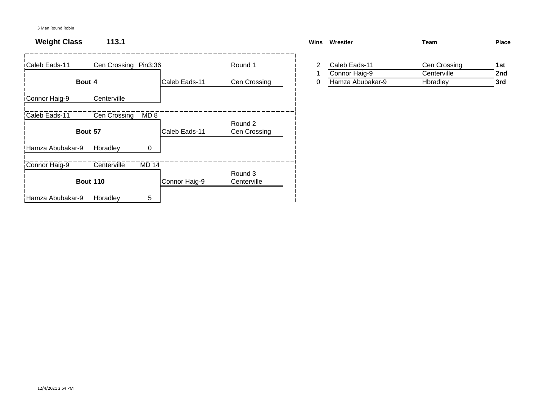## **Weight Class 113.1 Wins Wrestler Team Place**

| <b>iCaleb Eads-11</b> | Cen Crossing Pin3:36 |                 |               | Round 1                 | 2 | Caleb Eads-11    | Cen Crossing | 1st |
|-----------------------|----------------------|-----------------|---------------|-------------------------|---|------------------|--------------|-----|
|                       |                      |                 |               |                         |   | Connor Haig-9    | Centerville  | 2nc |
|                       | Bout 4               |                 | Caleb Eads-11 | Cen Crossing            | 0 | Hamza Abubakar-9 | Hbradley     | 3rd |
| <b>iConnor Haig-9</b> | Centerville          |                 |               |                         |   |                  |              |     |
| Caleb Eads-11         | Cen Crossing         | MD <sub>8</sub> |               |                         |   |                  |              |     |
|                       | Bout 57              |                 | Caleb Eads-11 | Round 2<br>Cen Crossing |   |                  |              |     |
| Hamza Abubakar-9      | Hbradley             | 0               |               |                         |   |                  |              |     |
| Connor Haig-9         | Centerville          | <b>MD 14</b>    |               |                         |   |                  |              |     |
|                       | <b>Bout 110</b>      |                 | Connor Haig-9 | Round 3<br>Centerville  |   |                  |              |     |
| Hamza Abubakar-9      | Hbradley             | 5               |               |                         |   |                  |              |     |

| <b>Wins</b> | Wrestler         | Team         | <b>Place</b> |
|-------------|------------------|--------------|--------------|
|             | Caleb Eads-11    | Cen Crossing | 1st          |
|             | Connor Haig-9    | Centerville  | 2nd          |
|             | Hamza Abubakar-9 | Hbradley     | 3rd          |
|             |                  |              |              |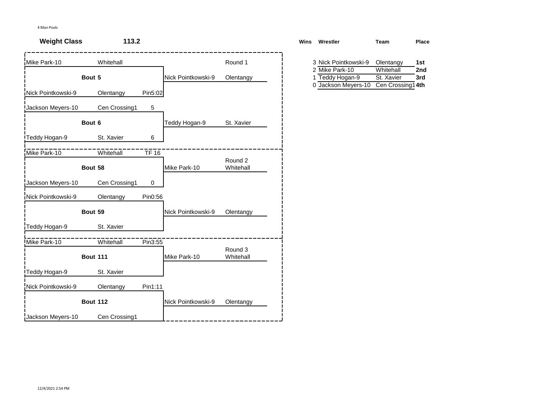| <b>Weight Class</b> | 113.2           |                    |                      | <b>Wins</b><br>Wrestler                                     | <b>Team</b>                                  | Place      |
|---------------------|-----------------|--------------------|----------------------|-------------------------------------------------------------|----------------------------------------------|------------|
| Mike Park-10        | Whitehall       |                    | Round 1              | 3 Nick Pointkowski-9                                        | Olentangy                                    | 1st        |
|                     | Bout 5          | Nick Pointkowski-9 | Olentangy            | 2 Mike Park-10<br>Teddy Hogan-9<br>1<br>0 Jackson Meyers-10 | Whitehall<br>St. Xavier<br>Cen Crossing1 4th | 2nd<br>3rd |
| Nick Pointkowski-9  | Olentangy       | Pin5:02            |                      |                                                             |                                              |            |
| Jackson Meyers-10   | Cen Crossing1   | 5                  |                      |                                                             |                                              |            |
|                     | Bout 6          | Teddy Hogan-9      | St. Xavier           |                                                             |                                              |            |
| Teddy Hogan-9       | St. Xavier      | 6                  |                      |                                                             |                                              |            |
| Mike Park-10        | Whitehall       | $TF$ 16            |                      |                                                             |                                              |            |
|                     | Bout 58         | Mike Park-10       | Round 2<br>Whitehall |                                                             |                                              |            |
| Jackson Meyers-10   | Cen Crossing1   | $\mathbf 0$        |                      |                                                             |                                              |            |
| Nick Pointkowski-9  | Olentangy       | Pin0:56            |                      |                                                             |                                              |            |
|                     | Bout 59         | Nick Pointkowski-9 | Olentangy            |                                                             |                                              |            |
| Teddy Hogan-9       | St. Xavier      |                    |                      |                                                             |                                              |            |
| Mike Park-10        | Whitehall       | Pin3:55            |                      |                                                             |                                              |            |
|                     | <b>Bout 111</b> | Mike Park-10       | Round 3<br>Whitehall |                                                             |                                              |            |
| Teddy Hogan-9       | St. Xavier      |                    |                      |                                                             |                                              |            |
| Nick Pointkowski-9  | Olentangy       | Pin1:11            |                      |                                                             |                                              |            |
|                     | <b>Bout 112</b> | Nick Pointkowski-9 | Olentangy            |                                                             |                                              |            |
| Jackson Meyers-10   | Cen Crossing1   |                    |                      |                                                             |                                              |            |

| ns | Wrestler             | Team             | Place |  |
|----|----------------------|------------------|-------|--|
|    | 3 Nick Pointkowski-9 | Olentangy        | 1st   |  |
|    | 2 Mike Park-10       | Whitehall        | 2nd   |  |
|    | 1 Teddy Hogan-9      | St. Xavier       | 3rd   |  |
|    | 0 Jackson Meyers-10  | Cen Crossing14th |       |  |
|    |                      |                  |       |  |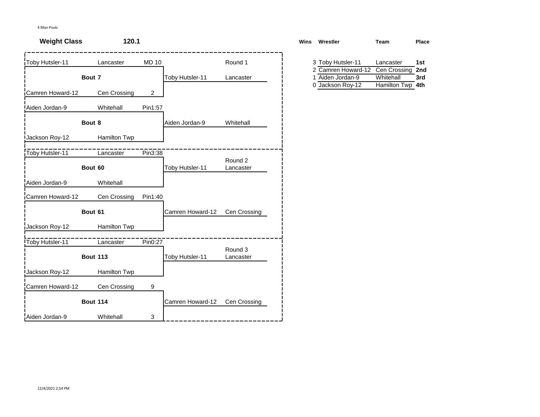| <b>Weight Class</b> | 120.1           |                |                  |                      | <b>Wins</b> | Wrestler                                | Team                          | Place      |
|---------------------|-----------------|----------------|------------------|----------------------|-------------|-----------------------------------------|-------------------------------|------------|
| Toby Hutsler-11     | Lancaster       | <b>MD 10</b>   |                  | Round 1              |             | 3 Toby Hutsler-11<br>2 Camren Howard-12 | Lancaster<br>Cen Crossing     | 1st<br>2nd |
|                     | Bout 7          |                | Toby Hutsler-11  | Lancaster            | 0           | 1 Aiden Jordan-9<br>Jackson Roy-12      | Whitehall<br>Hamilton Twp 4th | 3rd        |
| Camren Howard-12    | Cen Crossing    | $\overline{2}$ |                  |                      |             |                                         |                               |            |
| Aiden Jordan-9      | Whitehall       | Pin1:57        |                  |                      |             |                                         |                               |            |
|                     | Bout 8          |                | Aiden Jordan-9   | Whitehall            |             |                                         |                               |            |
| Jackson Roy-12      | Hamilton Twp    |                |                  |                      |             |                                         |                               |            |
| Toby Hutsler-11     | Lancaster       | Pin3:38        |                  |                      |             |                                         |                               |            |
|                     | Bout 60         |                | Toby Hutsler-11  | Round 2<br>Lancaster |             |                                         |                               |            |
| Aiden Jordan-9      | Whitehall       |                |                  |                      |             |                                         |                               |            |
| Camren Howard-12    | Cen Crossing    | Pin1:40        |                  |                      |             |                                         |                               |            |
|                     | Bout 61         |                | Camren Howard-12 | Cen Crossing         |             |                                         |                               |            |
| Jackson Roy-12      | Hamilton Twp    |                |                  |                      |             |                                         |                               |            |
| Toby Hutsler-11     | Lancaster       | Pin0:27        |                  |                      |             |                                         |                               |            |
|                     | <b>Bout 113</b> |                | Toby Hutsler-11  | Round 3<br>Lancaster |             |                                         |                               |            |
| Jackson Roy-12      | Hamilton Twp    |                |                  |                      |             |                                         |                               |            |
| Camren Howard-12    | Cen Crossing    | 9              |                  |                      |             |                                         |                               |            |
|                     | <b>Bout 114</b> |                | Camren Howard-12 | Cen Crossing         |             |                                         |                               |            |
| Aiden Jordan-9      | Whitehall       | 3              |                  |                      |             |                                         |                               |            |

| ns | Wrestler           | Team             | Place |
|----|--------------------|------------------|-------|
|    | 3 Toby Hutsler-11  | Lancaster        | 1st   |
|    | 2 Camren Howard-12 | Cen Crossing     | 2nd   |
|    | 1 Aiden Jordan-9   | Whitehall        | 3rd   |
|    | 0 Jackson Roy-12   | Hamilton Twp 4th |       |
|    |                    |                  |       |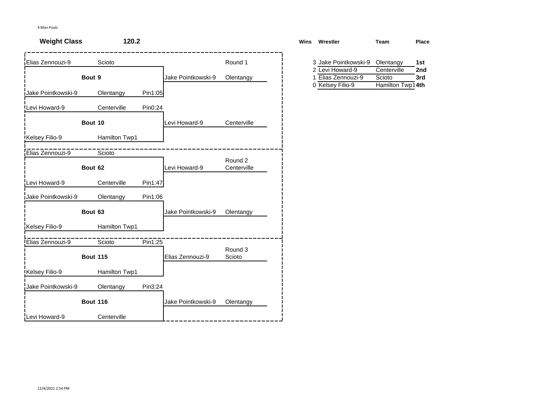| <b>Weight Class</b> | 120.2           |         |                    |                   | <b>Wins</b> | Wrestler                                                     | Team                                      | Place      |
|---------------------|-----------------|---------|--------------------|-------------------|-------------|--------------------------------------------------------------|-------------------------------------------|------------|
| Elias Zennouzi-9    | Scioto          |         |                    | Round 1           |             | 3 Jake Pointkowski-9                                         | Olentangy                                 | 1st        |
|                     | Bout 9          |         | Jake Pointkowski-9 | Olentangy         |             | 2 Levi Howard-9<br>Elias Zennouzi-9<br>1<br>0 Kelsey Filio-9 | Centerville<br>Scioto<br>Hamilton Twp14th | 2nd<br>3rd |
| Jake Pointkowski-9  | Olentangy       | Pin1:05 |                    |                   |             |                                                              |                                           |            |
| Levi Howard-9       | Centerville     | Pin0:24 |                    |                   |             |                                                              |                                           |            |
|                     | Bout 10         |         | Levi Howard-9      | Centerville       |             |                                                              |                                           |            |
| Kelsey Filio-9      | Hamilton Twp1   |         |                    |                   |             |                                                              |                                           |            |
| Elias Zennouzi-9    | Scioto          |         |                    | Round 2           |             |                                                              |                                           |            |
|                     | Bout 62         |         | Levi Howard-9      | Centerville       |             |                                                              |                                           |            |
| Levi Howard-9       | Centerville     | Pin1:47 |                    |                   |             |                                                              |                                           |            |
| Jake Pointkowski-9  | Olentangy       | Pin1:06 |                    |                   |             |                                                              |                                           |            |
|                     | Bout 63         |         | Jake Pointkowski-9 | Olentangy         |             |                                                              |                                           |            |
| Kelsey Filio-9      | Hamilton Twp1   |         |                    |                   |             |                                                              |                                           |            |
| Elias Zennouzi-9    | Scioto          | Pin1:25 |                    |                   |             |                                                              |                                           |            |
|                     | <b>Bout 115</b> |         | Elias Zennouzi-9   | Round 3<br>Scioto |             |                                                              |                                           |            |
| Kelsey Filio-9      | Hamilton Twp1   |         |                    |                   |             |                                                              |                                           |            |
| Jake Pointkowski-9  | Olentangy       | Pin3:24 |                    |                   |             |                                                              |                                           |            |
|                     | <b>Bout 116</b> |         | Jake Pointkowski-9 | Olentangy         |             |                                                              |                                           |            |
| Levi Howard-9       | Centerville     |         |                    |                   |             |                                                              |                                           |            |

| ns | Wrestler             | Team             | Place |
|----|----------------------|------------------|-------|
|    | 3 Jake Pointkowski-9 | Olentangy        | 1st   |
|    | 2 Levi Howard-9      | Centerville      | 2nd   |
|    | 1 Elias Zennouzi-9   | Scioto           | 3rd   |
|    | 0 Kelsey Filio-9     | Hamilton Twp14th |       |
|    |                      |                  |       |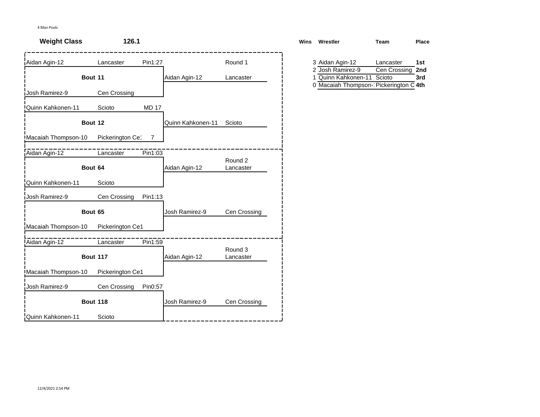| <b>Weight Class</b> | 126.1                        |                |                   |                      | <b>Wins</b> | Wrestler                                                    | <b>Team</b>               | Place      |
|---------------------|------------------------------|----------------|-------------------|----------------------|-------------|-------------------------------------------------------------|---------------------------|------------|
| Aidan Agin-12       | Lancaster                    | Pin1:27        |                   | Round 1              |             | 3 Aidan Agin-12<br>2 Josh Ramirez-9                         | Lancaster<br>Cen Crossing | 1st<br>2nd |
|                     | Bout 11                      |                | Aidan Agin-12     | Lancaster            | 1           | Quinn Kahkonen-11<br>0 Macaiah Thompson- Pickerington C 4th | Scioto                    | 3rd        |
| Josh Ramirez-9      | Cen Crossing                 |                |                   |                      |             |                                                             |                           |            |
| Quinn Kahkonen-11   | Scioto                       | <b>MD 17</b>   |                   |                      |             |                                                             |                           |            |
|                     | Bout 12                      |                | Quinn Kahkonen-11 | Scioto               |             |                                                             |                           |            |
| Macaiah Thompson-10 | Pickerington Ce <sup>-</sup> | $\overline{7}$ |                   |                      |             |                                                             |                           |            |
| Aidan Agin-12       | Lancaster                    | Pin1:03        |                   |                      |             |                                                             |                           |            |
|                     | Bout 64                      |                | Aidan Agin-12     | Round 2<br>Lancaster |             |                                                             |                           |            |
| Quinn Kahkonen-11   | Scioto                       |                |                   |                      |             |                                                             |                           |            |
| Josh Ramirez-9      | Cen Crossing                 | Pin1:13        |                   |                      |             |                                                             |                           |            |
|                     | Bout 65                      |                | Josh Ramirez-9    | Cen Crossing         |             |                                                             |                           |            |
| Macaiah Thompson-10 | Pickerington Ce1             |                |                   |                      |             |                                                             |                           |            |
| Aidan Agin-12       | Lancaster                    | Pin1:59        |                   |                      |             |                                                             |                           |            |
|                     | <b>Bout 117</b>              |                | Aidan Agin-12     | Round 3<br>Lancaster |             |                                                             |                           |            |
| Macaiah Thompson-10 | Pickerington Ce1             |                |                   |                      |             |                                                             |                           |            |
| Josh Ramirez-9      | Cen Crossing                 | Pin0:57        |                   |                      |             |                                                             |                           |            |
|                     | <b>Bout 118</b>              |                | Josh Ramirez-9    | Cen Crossing         |             |                                                             |                           |            |
| Quinn Kahkonen-11   | Scioto                       |                |                   |                      |             |                                                             |                           |            |

| ns | Wrestler                               | Team         | Place |
|----|----------------------------------------|--------------|-------|
|    | 3 Aidan Agin-12                        | Lancaster    | 1st   |
|    | 2 Josh Ramirez-9                       | Cen Crossing | 2nd   |
|    | 1 Quinn Kahkonen-11 Scioto             |              | 3rd   |
|    | 0 Macaiah Thompson- Pickerington C 4th |              |       |
|    |                                        |              |       |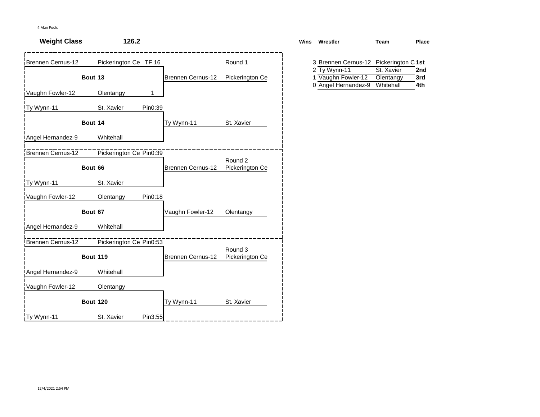| <b>Weight Class</b> | 126.2                   |                   |                            | Wins Wrestler                                             | Team                                 | Place             |
|---------------------|-------------------------|-------------------|----------------------------|-----------------------------------------------------------|--------------------------------------|-------------------|
| Brennen Cernus-12   | Pickerington Ce TF 16   |                   | Round 1                    | 3 Brennen Cernus-12 Pickerington C 1st                    |                                      |                   |
|                     | Bout 13                 | Brennen Cernus-12 | Pickerington Ce            | 2 Ty Wynn-11<br>1 Vaughn Fowler-12<br>0 Angel Hernandez-9 | St. Xavier<br>Olentangy<br>Whitehall | 2nd<br>3rd<br>4th |
| Vaughn Fowler-12    | Olentangy<br>1          |                   |                            |                                                           |                                      |                   |
| Ty Wynn-11          | St. Xavier<br>Pin0:39   |                   |                            |                                                           |                                      |                   |
|                     | Bout 14                 | Ty Wynn-11        | St. Xavier                 |                                                           |                                      |                   |
| Angel Hernandez-9   | Whitehall               |                   |                            |                                                           |                                      |                   |
| Brennen Cernus-12   | Pickerington Ce Pin0:39 |                   | Round 2                    |                                                           |                                      |                   |
|                     | Bout 66                 | Brennen Cernus-12 | Pickerington Ce            |                                                           |                                      |                   |
| Ty Wynn-11          | St. Xavier              |                   |                            |                                                           |                                      |                   |
| Vaughn Fowler-12    | Pin0:18<br>Olentangy    |                   |                            |                                                           |                                      |                   |
|                     | Bout 67                 | Vaughn Fowler-12  | Olentangy                  |                                                           |                                      |                   |
| Angel Hernandez-9   | Whitehall               |                   |                            |                                                           |                                      |                   |
| Brennen Cernus-12   | Pickerington Ce Pin0:53 |                   |                            |                                                           |                                      |                   |
|                     | <b>Bout 119</b>         | Brennen Cernus-12 | Round 3<br>Pickerington Ce |                                                           |                                      |                   |
| Angel Hernandez-9   | Whitehall               |                   |                            |                                                           |                                      |                   |
| Vaughn Fowler-12    | Olentangy               |                   |                            |                                                           |                                      |                   |
|                     | <b>Bout 120</b>         | Ty Wynn-11        | St. Xavier                 |                                                           |                                      |                   |
| Ty Wynn-11          | St. Xavier<br>Pin3:55   |                   |                            |                                                           |                                      |                   |

| s | Wrestler                               | Team       | Place |
|---|----------------------------------------|------------|-------|
|   | 3 Brennen Cernus-12 Pickerington C 1st |            |       |
|   | 2 Ty Wynn-11                           | St. Xavier | 2nd   |
|   | 1 Vaughn Fowler-12                     | Olentangy  | 3rd   |
|   | 0 Angel Hernandez-9                    | Whitehall  | 4th   |
|   |                                        |            |       |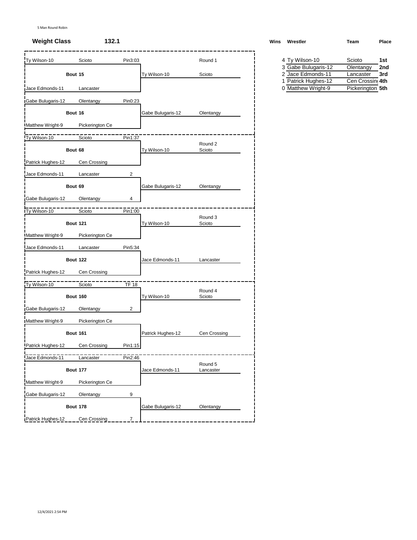5 Man Round Robin

| Ty Wilson-10      | Scioto          | Pin3:03        |                   | Round 1              | 4 Ty Wilson-10                           | Scioto                        | 1st |
|-------------------|-----------------|----------------|-------------------|----------------------|------------------------------------------|-------------------------------|-----|
|                   |                 |                |                   |                      | 3 Gabe Bulugaris 12                      | Olentangy                     | 2nc |
|                   | Bout 15         |                | Ty Wilson-10      | Scioto               | 2 Jace Edmonds-11<br>1 Patrick Hughes-12 | Lancaster<br>Cen Crossing 4th | 3rd |
| Jace Edmonds-11   | Lancaster       |                |                   |                      | 0 Matthew Wright-9                       | Pickerington 5th              |     |
| Gabe Bulugaris-12 | Olentangy       | Pin0:23        |                   |                      |                                          |                               |     |
|                   | Bout 16         |                | Gabe Bulugaris-12 | Olentangy            |                                          |                               |     |
| Matthew Wright-9  | Pickerington Ce |                |                   |                      |                                          |                               |     |
| Ty Wilson-10      | Scioto          | Pin1:37        |                   |                      |                                          |                               |     |
|                   | Bout 68         |                | Ty Wilson-10      | Round 2<br>Scioto    |                                          |                               |     |
| Patrick Hughes-12 | Cen Crossing    |                |                   |                      |                                          |                               |     |
| Jace Edmonds-11   | Lancaster       | $\overline{2}$ |                   |                      |                                          |                               |     |
|                   | Bout 69         |                | Gabe Bulugaris-12 | Olentangy            |                                          |                               |     |
| Gabe Bulugaris-12 | Olentangy       | 4              |                   |                      |                                          |                               |     |
| Ty Wilson-10      | Scioto          | Pin1:00        |                   |                      |                                          |                               |     |
|                   | <b>Bout 121</b> |                | Ty Wilson-10      | Round 3<br>Scioto    |                                          |                               |     |
| Matthew Wright-9  | Pickerington Ce |                |                   |                      |                                          |                               |     |
| Jace Edmonds-11   | Lancaster       | Pin5:34        |                   |                      |                                          |                               |     |
|                   | <b>Bout 122</b> |                | Jace Edmonds-11   | Lancaster            |                                          |                               |     |
| Patrick Hughes-12 | Cen Crossing    |                |                   |                      |                                          |                               |     |
| Ty Wilson-10      | Scioto          | $TF$ 18        |                   |                      |                                          |                               |     |
|                   | <b>Bout 160</b> |                | Ty Wilson-10      | Round 4<br>Scioto    |                                          |                               |     |
| Gabe Bulugaris-12 | Olentangy       | $\overline{2}$ |                   |                      |                                          |                               |     |
| Matthew Wright-9  | Pickerington Ce |                |                   |                      |                                          |                               |     |
|                   | <b>Bout 161</b> |                | Patrick Hughes-12 | Cen Crossing         |                                          |                               |     |
| Patrick Hughes-12 | Cen Crossing    | Pin1:15        |                   |                      |                                          |                               |     |
| Jace Edmonds-11   | Lancaster       | Pin2:46        |                   |                      |                                          |                               |     |
|                   | <b>Bout 177</b> |                | Jace Edmonds-11   | Round 5<br>Lancaster |                                          |                               |     |
| Matthew Wright-9  | Pickerington Ce |                |                   |                      |                                          |                               |     |
| Gabe Bulugaris-12 | Olentangy       | 9              |                   |                      |                                          |                               |     |
|                   | <b>Bout 178</b> |                | Gabe Bulugaris-12 | Olentangy            |                                          |                               |     |
| Patrick Hughes-12 | Cen Crossing    | $\overline{7}$ |                   |                      |                                          |                               |     |

# **Weight Class 132.1 Wins Wrestler Team Place** 4 Ty Wilson-10 Scioto 1st<br>3 Gabe Bulugaris-12 Olentangy 2nd

| 3 Gabe Bulugaris-12 | Olentangy        | 2nd |
|---------------------|------------------|-----|
| 2 Jace Edmonds-11   | Lancaster        | 3rd |
| 1 Patrick Hughes-12 | Cen Crossing 4th |     |
| 0 Matthew Wright-9  | Pickerington 5th |     |
|                     |                  |     |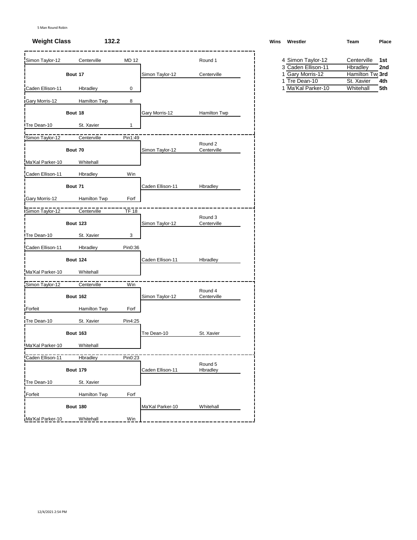## **Weight Class 132.2 Wins Wrestler Team Place**

| Simon Taylor-12    |                 | Centerville  | <b>MD 12</b> |                  | Round 1                |  | 4 Simon Taylor-12                      | Centerville                  | 1st |
|--------------------|-----------------|--------------|--------------|------------------|------------------------|--|----------------------------------------|------------------------------|-----|
|                    | Bout 17         |              |              |                  | Centerville            |  | 3 Caden Ellison-11<br>1 Gary Morris-12 | Hbradley<br>Hamilton Twi 3rd | 2nc |
|                    |                 |              |              | Simon Taylor-12  |                        |  | 1 Tre Dean-10                          | St. Xavier                   | 4th |
| Caden Ellison-11   |                 | Hbradley     | 0            |                  |                        |  | 1 Ma'Kal Parker-10                     | Whitehall                    | 5th |
| Gary Morris-12     |                 | Hamilton Twp | 8            |                  |                        |  |                                        |                              |     |
|                    | Bout 18         |              |              | Gary Morris-12   | Hamilton Twp           |  |                                        |                              |     |
| Tre Dean-10        |                 | St. Xavier   | 1            |                  |                        |  |                                        |                              |     |
| Simon Taylor-12    |                 | Centerville  | Pin1:49      |                  |                        |  |                                        |                              |     |
|                    | Bout 70         |              |              | Simon Taylor-12  | Round 2<br>Centerville |  |                                        |                              |     |
| Ma'Kal Parker-10   |                 | Whitehall    |              |                  |                        |  |                                        |                              |     |
| Caden Ellison-11   |                 | Hbradley     | Win          |                  |                        |  |                                        |                              |     |
|                    | Bout 71         |              |              | Caden Ellison-11 | Hbradley               |  |                                        |                              |     |
| Gary Morris-12     |                 | Hamilton Twp | Forf         |                  |                        |  |                                        |                              |     |
| Simon Taylor-12    |                 | Centerville  | TF 18        |                  |                        |  |                                        |                              |     |
|                    | <b>Bout 123</b> |              |              | Simon Taylor-12  | Round 3<br>Centerville |  |                                        |                              |     |
| Tre Dean-10        |                 | St. Xavier   | 3            |                  |                        |  |                                        |                              |     |
| Caden Ellison-11   |                 | Hbradley     | Pin0:36      |                  |                        |  |                                        |                              |     |
|                    | <b>Bout 124</b> |              |              | Caden Ellison-11 | Hbradley               |  |                                        |                              |     |
| Ma'Kal Parker-10   |                 | Whitehall    |              |                  |                        |  |                                        |                              |     |
| Simon Taylor-12    |                 | Centerville  | Win          |                  |                        |  |                                        |                              |     |
|                    | <b>Bout 162</b> |              |              | Simon Taylor-12  | Round 4<br>Centerville |  |                                        |                              |     |
| Forfeit            |                 | Hamilton Twp | Forf         |                  |                        |  |                                        |                              |     |
| <b>Tre Dean-10</b> |                 | St. Xavier   | Pin4:25      |                  |                        |  |                                        |                              |     |
|                    | <b>Bout 163</b> |              |              | Tre Dean-10      | St. Xavier             |  |                                        |                              |     |
| Ma'Kal Parker-10   |                 | Whitehall    |              |                  |                        |  |                                        |                              |     |
| Caden Ellison-11   |                 | Hbradley     | Pin0:23      |                  |                        |  |                                        |                              |     |
|                    | <b>Bout 179</b> |              |              | Caden Ellison-11 | Round 5<br>Hbradley    |  |                                        |                              |     |
| Tre Dean-10        |                 | St. Xavier   |              |                  |                        |  |                                        |                              |     |
| Forfeit            |                 | Hamilton Twp | Forf         |                  |                        |  |                                        |                              |     |
|                    | <b>Bout 180</b> |              |              | Ma'Kal Parker-10 | Whitehall              |  |                                        |                              |     |
| Ma'Kal Parker-10   |                 | Whitehall    | Win          |                  |                        |  |                                        |                              |     |

| ∨ıns∶ | wrestier           | ream        | <b>Place</b> |
|-------|--------------------|-------------|--------------|
|       |                    |             |              |
|       | 4 Simon Taylor-12  | Centerville | 1st          |
|       | 3 Caden Ellison-11 | Hbradley    | 2nd          |

| 1 Gary Morris-12   | Hamilton Tw <sub>l</sub> 3rd |  |
|--------------------|------------------------------|--|
| 1 Tre Dean-10      | St. Xavier<br>4th            |  |
| 1 Ma'Kal Parker-10 | Whitehall<br>5th             |  |
|                    |                              |  |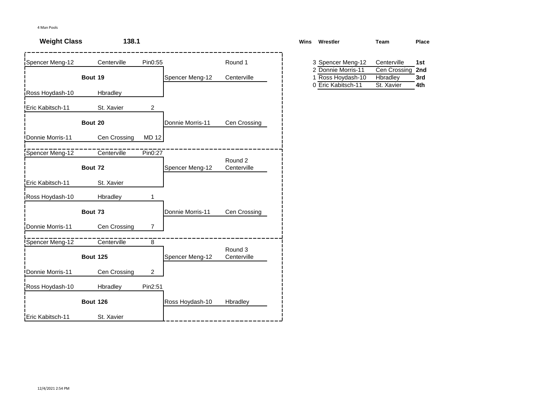| <b>Weight Class</b> | 138.1           |                |                  |                        | Wins | Wrestler                                | <b>Team</b>              | Pla        |
|---------------------|-----------------|----------------|------------------|------------------------|------|-----------------------------------------|--------------------------|------------|
| Spencer Meng-12     | Centerville     | Pin0:55        |                  | Round 1                |      | 3 Spencer Meng-12                       | Centerville              | 1st        |
|                     | Bout 19         |                | Spencer Meng-12  | Centerville            |      | 2 Donnie Morris-11<br>1 Ross Hoydash-10 | Cen Crossing<br>Hbradley | 2nc<br>3rd |
| Ross Hoydash-10     | Hbradley        |                |                  |                        |      | 0 Eric Kabitsch-11                      | St. Xavier               | 4th        |
| Eric Kabitsch-11    | St. Xavier      | $\overline{2}$ |                  |                        |      |                                         |                          |            |
|                     | Bout 20         |                | Donnie Morris-11 | Cen Crossing           |      |                                         |                          |            |
| Donnie Morris-11    | Cen Crossing    | <b>MD 12</b>   |                  |                        |      |                                         |                          |            |
| Spencer Meng-12     | Centerville     | Pin0:27        |                  |                        |      |                                         |                          |            |
|                     | Bout 72         |                | Spencer Meng-12  | Round 2<br>Centerville |      |                                         |                          |            |
| Eric Kabitsch-11    | St. Xavier      |                |                  |                        |      |                                         |                          |            |
| Ross Hoydash-10     | Hbradley        | 1              |                  |                        |      |                                         |                          |            |
|                     | Bout 73         |                | Donnie Morris-11 | Cen Crossing           |      |                                         |                          |            |
| Donnie Morris-11    | Cen Crossing    | $\overline{7}$ |                  |                        |      |                                         |                          |            |
| Spencer Meng-12     | Centerville     | 8              |                  |                        |      |                                         |                          |            |
|                     | <b>Bout 125</b> |                | Spencer Meng-12  | Round 3<br>Centerville |      |                                         |                          |            |
| Donnie Morris-11    | Cen Crossing    | $\mathbf{2}$   |                  |                        |      |                                         |                          |            |
| Ross Hoydash-10     | Hbradley        | Pin2:51        |                  |                        |      |                                         |                          |            |
|                     | <b>Bout 126</b> |                | Ross Hoydash-10  | Hbradley               |      |                                         |                          |            |
| Eric Kabitsch-11    | St. Xavier      |                |                  |                        |      |                                         |                          |            |

| Wins | Wrestler           | Team         | Place |
|------|--------------------|--------------|-------|
|      |                    |              |       |
|      | 3 Spencer Meng-12  | Centerville  | 1st   |
|      | 2 Donnie Morris-11 | Cen Crossing | 2nd   |
|      | 1 Ross Hoydash-10  | Hbradley     | 3rd   |
|      | 0 Eric Kabitsch-11 | St. Xavier   | 4th   |
|      |                    |              |       |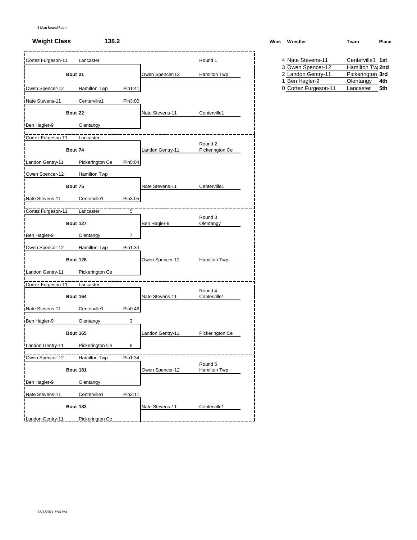| Cortez Furgeson-11   | Lancaster       |                |                  | Round 1         |  | 4 Nate Stevens-11    | Centerville1 1st             |
|----------------------|-----------------|----------------|------------------|-----------------|--|----------------------|------------------------------|
|                      |                 |                |                  |                 |  | 3 Owen Spencer-12    | Hamilton Tw <sub>l</sub> 2nd |
|                      | Bout 21         |                | Owen Spencer-12  | Hamilton Twp    |  | 2 Landon Gentry-11   | Pickerington 3rd             |
|                      |                 |                |                  |                 |  | 1 Ben Hagler-9       | Olentangy<br>4th             |
| Owen Spencer-12      | Hamilton Twp    | Pin1:41        |                  |                 |  | 0 Cortez Furgeson-11 | 5th<br>Lancaster             |
| Nate Stevens-11      | Centerville1    | Pin3:00        |                  |                 |  |                      |                              |
|                      | Bout 22         |                | Nate Stevens-11  | Centerville1    |  |                      |                              |
| Ben Hagler-9         | Olentangy       |                |                  |                 |  |                      |                              |
| Cortez Furgeson-11   | Lancaster       |                |                  |                 |  |                      |                              |
|                      |                 |                |                  | Round 2         |  |                      |                              |
|                      | Bout 74         |                | Landon Gentry-11 | Pickerington Ce |  |                      |                              |
| Landon Gentry-11     | Pickerington Ce | Pin5:04        |                  |                 |  |                      |                              |
| Owen Spencer-12      | Hamilton Twp    |                |                  |                 |  |                      |                              |
|                      | Bout 75         |                | Nate Stevens-11  | Centerville1    |  |                      |                              |
| Nate Stevens-11      | Centerville1    | Pin3:05        |                  |                 |  |                      |                              |
|                      |                 |                |                  |                 |  |                      |                              |
| Cortez Furgeson-11   | Lancaster       | 5              |                  | Round 3         |  |                      |                              |
|                      | <b>Bout 127</b> |                | Ben Hagler-9     | Olentangy       |  |                      |                              |
| Ben Hagler-9         | Olentangy       | $\overline{7}$ |                  |                 |  |                      |                              |
| Owen Spencer-12      | Hamilton Twp    | Pin1:33        |                  |                 |  |                      |                              |
|                      | <b>Bout 128</b> |                | Owen Spencer-12  | Hamilton Twp    |  |                      |                              |
| Landon Gentry-11     | Pickerington Ce |                |                  |                 |  |                      |                              |
|                      |                 |                |                  |                 |  |                      |                              |
| Cortez Furgeson-11   | Lancaster       |                |                  | Round 4         |  |                      |                              |
|                      | <b>Bout 164</b> |                | Nate Stevens-11  | Centerville1    |  |                      |                              |
| Nate Stevens-11      | Centerville1    | Pin0:46        |                  |                 |  |                      |                              |
| <b>IBen Hagler-9</b> | Olentangy       | 3              |                  |                 |  |                      |                              |
|                      | <b>Bout 165</b> |                | Landon Gentry-11 | Pickerington Ce |  |                      |                              |
| Landon Gentry-11     | Pickerington Ce | 9              |                  |                 |  |                      |                              |
| Owen Spencer-12      | Hamilton Twp    | Pin1:34        |                  |                 |  |                      |                              |
|                      |                 |                |                  | Round 5         |  |                      |                              |
|                      | <b>Bout 181</b> |                | Owen Spencer-12  | Hamilton Twp    |  |                      |                              |
| Ben Hagler-9         | Olentangy       |                |                  |                 |  |                      |                              |
| Nate Stevens-11      | Centerville1    | Pin3:11        |                  |                 |  |                      |                              |
|                      | <b>Bout 182</b> |                | Nate Stevens-11  | Centerville1    |  |                      |                              |
| Landon Gentry-11     | Pickerington Ce |                |                  |                 |  |                      |                              |
|                      |                 |                |                  |                 |  |                      |                              |

# **Weight Class 138.2 Wins Wrestler Team Place**

| 4 Nate Stevens-11    | Centerville1 1st             |     |
|----------------------|------------------------------|-----|
| 3 Owen Spencer-12    | Hamilton Tw <sub>l</sub> 2nd |     |
| 2 Landon Gentry-11   | Pickerington 3rd             |     |
| 1 Ben Hagler-9       | Olentangy                    | 4th |
| 0 Cortez Euroeson-11 | I ancaster                   | 5th |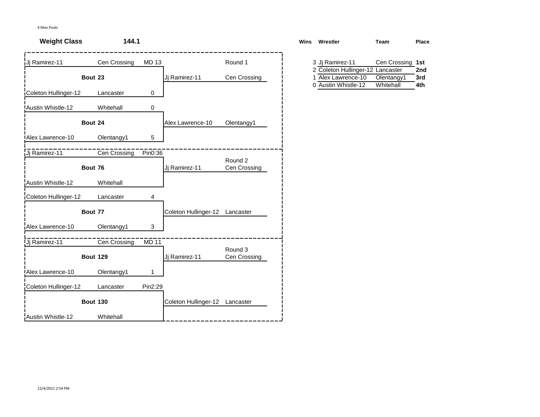| <b>Weight Class</b>  | 144.1           |         |                                |                         | <b>Wins</b> | Wrestler                                            | <b>Team</b>             | Place      |
|----------------------|-----------------|---------|--------------------------------|-------------------------|-------------|-----------------------------------------------------|-------------------------|------------|
| Jj Ramirez-11        | Cen Crossing    | MD 13   |                                | Round 1                 |             | 3 Jj Ramirez-11<br>2 Coleton Hullinger-12 Lancaster | Cen Crossing 1st        | 2nd        |
|                      | Bout 23         |         | Jj Ramirez-11                  | Cen Crossing            |             | 1 Alex Lawrence-10<br>0 Austin Whistle-12           | Olentangy1<br>Whitehall | 3rd<br>4th |
| Coleton Hullinger-12 | Lancaster       | 0       |                                |                         |             |                                                     |                         |            |
| Austin Whistle-12    | Whitehall       | 0       |                                |                         |             |                                                     |                         |            |
|                      | Bout 24         |         | Alex Lawrence-10               | Olentangy1              |             |                                                     |                         |            |
| Alex Lawrence-10     | Olentangy1      | 5       |                                |                         |             |                                                     |                         |            |
| Ji Ramirez-11        | Cen Crossing    | Pin0:36 |                                |                         |             |                                                     |                         |            |
|                      | Bout 76         |         | Jj Ramirez-11                  | Round 2<br>Cen Crossing |             |                                                     |                         |            |
| Austin Whistle-12    | Whitehall       |         |                                |                         |             |                                                     |                         |            |
| Coleton Hullinger-12 | Lancaster       | 4       |                                |                         |             |                                                     |                         |            |
|                      | Bout 77         |         | Coleton Hullinger-12 Lancaster |                         |             |                                                     |                         |            |
| Alex Lawrence-10     | Olentangy1      | 3       |                                |                         |             |                                                     |                         |            |
| Jj Ramirez-11        | Cen Crossing    | MD711   |                                |                         |             |                                                     |                         |            |
|                      | <b>Bout 129</b> |         | Jj Ramirez-11                  | Round 3<br>Cen Crossing |             |                                                     |                         |            |
| Alex Lawrence-10     | Olentangy1      | 1       |                                |                         |             |                                                     |                         |            |
| Coleton Hullinger-12 | Lancaster       | Pin2:29 |                                |                         |             |                                                     |                         |            |
|                      | <b>Bout 130</b> |         | Coleton Hullinger-12 Lancaster |                         |             |                                                     |                         |            |
| Austin Whistle-12    | Whitehall       |         |                                |                         |             |                                                     |                         |            |

| ١S | Wrestler                         | Геаm             | Place |
|----|----------------------------------|------------------|-------|
|    |                                  |                  |       |
|    |                                  |                  |       |
|    | 3 Jj Ramirez-11                  | Cen Crossing 1st |       |
|    | 2 Coleton Hullinger-12 Lancaster |                  | 2nd   |
|    | 1 Alex Lawrence-10               | Olentangy1       | 3rd   |
|    | 0 Austin Whistle-12              | Whitehall        | 4th   |
|    |                                  |                  |       |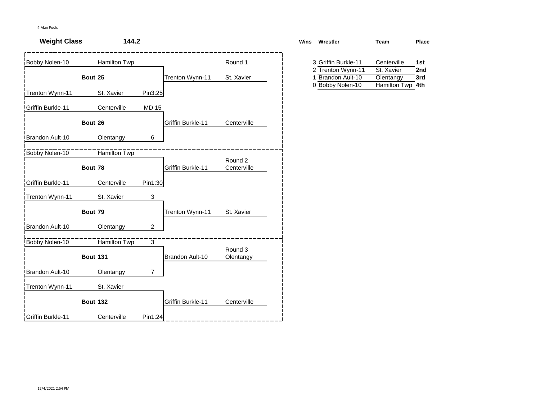| <b>Weight Class</b> | 144.2           |                |                   |                        | Wins<br>Wrestler                                            | <b>Team</b>                                 | <b>Place</b> |
|---------------------|-----------------|----------------|-------------------|------------------------|-------------------------------------------------------------|---------------------------------------------|--------------|
| Bobby Nolen-10      | Hamilton Twp    |                |                   | Round 1                | 3 Griffin Burkle-11                                         | Centerville                                 | 1st          |
|                     | Bout 25         |                | Trenton Wynn-11   | St. Xavier             | Trenton Wynn-11<br>2<br>Brandon Ault-10<br>0 Bobby Nolen-10 | St. Xavier<br>Olentangy<br>Hamilton Twp 4th | 2nd<br>3rd   |
| Trenton Wynn-11     | St. Xavier      | Pin3:25        |                   |                        |                                                             |                                             |              |
| Griffin Burkle-11   | Centerville     | <b>MD 15</b>   |                   |                        |                                                             |                                             |              |
|                     | Bout 26         |                | Griffin Burkle-11 | Centerville            |                                                             |                                             |              |
| Brandon Ault-10     | Olentangy       | 6              |                   |                        |                                                             |                                             |              |
| Bobby Nolen-10      | Hamilton Twp    |                |                   |                        |                                                             |                                             |              |
|                     | Bout 78         |                | Griffin Burkle-11 | Round 2<br>Centerville |                                                             |                                             |              |
| Griffin Burkle-11   | Centerville     | Pin1:30        |                   |                        |                                                             |                                             |              |
| Trenton Wynn-11     | St. Xavier      | 3              |                   |                        |                                                             |                                             |              |
|                     | Bout 79         |                | Trenton Wynn-11   | St. Xavier             |                                                             |                                             |              |
| Brandon Ault-10     | Olentangy       | $\overline{2}$ |                   |                        |                                                             |                                             |              |
| Bobby Nolen-10      | Hamilton Twp    | $\overline{3}$ |                   |                        |                                                             |                                             |              |
|                     | <b>Bout 131</b> |                | Brandon Ault-10   | Round 3<br>Olentangy   |                                                             |                                             |              |
| Brandon Ault-10     | Olentangy       | $\overline{7}$ |                   |                        |                                                             |                                             |              |
| Trenton Wynn-11     | St. Xavier      |                |                   |                        |                                                             |                                             |              |
|                     | <b>Bout 132</b> |                | Griffin Burkle-11 | Centerville            |                                                             |                                             |              |
| Griffin Burkle-11   | Centerville     | Pin1:24        |                   |                        |                                                             |                                             |              |

| ns | Wrestler            | Team         | Place |
|----|---------------------|--------------|-------|
|    | 3 Griffin Burkle-11 | Centerville  | 1st   |
|    | 2 Trenton Wynn-11   | St. Xavier   | 2nd   |
|    | 1 Brandon Ault-10   | Olentangy    | 3rd   |
|    | 0 Bobby Nolen-10    | Hamilton Twp | 4th   |
|    |                     |              |       |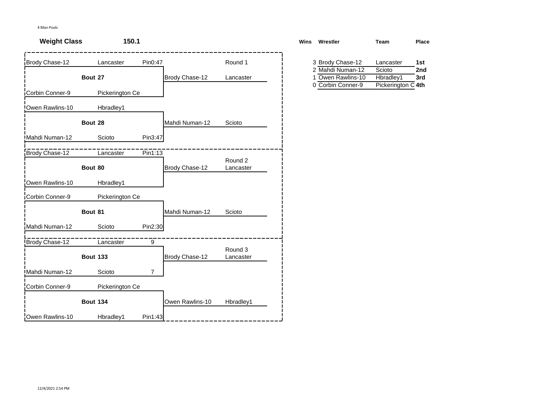| <b>Weight Class</b> | 150.1           |                |                 |                      | <b>Wins</b> | Wrestler                             | Team                | Place      |
|---------------------|-----------------|----------------|-----------------|----------------------|-------------|--------------------------------------|---------------------|------------|
| Brody Chase-12      | Lancaster       | Pin0:47        |                 | Round 1              |             | 3 Brody Chase-12<br>2 Mahdi Numan-12 | Lancaster<br>Scioto | 1st<br>2nd |
|                     | Bout 27         |                | Brody Chase-12  | Lancaster            | 1           | Owen Rawlins-10                      | Hbradley1           | 3rd        |
| Corbin Conner-9     | Pickerington Ce |                |                 |                      |             | 0 Corbin Conner-9                    | Pickerington C 4th  |            |
| Owen Rawlins-10     | Hbradley1       |                |                 |                      |             |                                      |                     |            |
|                     | Bout 28         |                | Mahdi Numan-12  | Scioto               |             |                                      |                     |            |
| Mahdi Numan-12      | Scioto          | Pin3:47        |                 |                      |             |                                      |                     |            |
| Brody Chase-12      | Lancaster       | Pin1:13        |                 |                      |             |                                      |                     |            |
|                     | Bout 80         |                | Brody Chase-12  | Round 2<br>Lancaster |             |                                      |                     |            |
| Owen Rawlins-10     | Hbradley1       |                |                 |                      |             |                                      |                     |            |
| Corbin Conner-9     | Pickerington Ce |                |                 |                      |             |                                      |                     |            |
|                     | Bout 81         |                | Mahdi Numan-12  | Scioto               |             |                                      |                     |            |
| Mahdi Numan-12      | Scioto          | Pin2:30        |                 |                      |             |                                      |                     |            |
| Brody Chase-12      | Lancaster       | 9              |                 |                      |             |                                      |                     |            |
|                     | <b>Bout 133</b> |                | Brody Chase-12  | Round 3<br>Lancaster |             |                                      |                     |            |
| Mahdi Numan-12      | Scioto          | $\overline{7}$ |                 |                      |             |                                      |                     |            |
| Corbin Conner-9     | Pickerington Ce |                |                 |                      |             |                                      |                     |            |
|                     | <b>Bout 134</b> |                | Owen Rawlins-10 | Hbradley1            |             |                                      |                     |            |
| Owen Rawlins-10     | Hbradley1       | Pin1:43        |                 |                      |             |                                      |                     |            |

| ns | Wrestler          | Team               | <b>Place</b> |
|----|-------------------|--------------------|--------------|
|    | 3 Brody Chase-12  | Lancaster          | 1st          |
|    | 2 Mahdi Numan-12  | Scioto             | 2nd          |
|    | 1 Owen Rawlins-10 | Hbradley1          | 3rd          |
|    | 0 Corbin Conner-9 | Pickerington C 4th |              |
|    |                   |                    |              |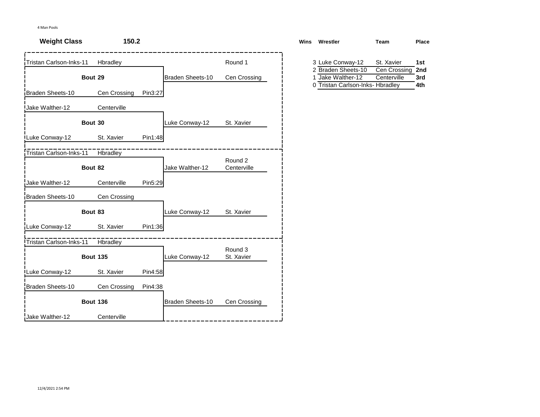| <b>Weight Class</b>     | 150.2           |         |                  |                        | Wins | Wrestler                                                                    | <b>Team</b>                 | Pla               |
|-------------------------|-----------------|---------|------------------|------------------------|------|-----------------------------------------------------------------------------|-----------------------------|-------------------|
| Tristan Carlson-Inks-11 | Hbradley        |         |                  | Round 1                |      | 3 Luke Conway-12                                                            | St. Xavier                  | 1st               |
|                         | Bout 29         |         | Braden Sheets-10 | Cen Crossing           |      | 2 Braden Sheets-10<br>1 Jake Walther-12<br>0 Tristan Carlson-Inks- Hbradley | Cen Crossing<br>Centerville | 2nc<br>3rd<br>4th |
| Braden Sheets-10        | Cen Crossing    | Pin3:27 |                  |                        |      |                                                                             |                             |                   |
| Jake Walther-12         | Centerville     |         |                  |                        |      |                                                                             |                             |                   |
|                         | Bout 30         |         | Luke Conway-12   | St. Xavier             |      |                                                                             |                             |                   |
| Luke Conway-12          | St. Xavier      | Pin1:48 |                  |                        |      |                                                                             |                             |                   |
| Tristan Carlson-Inks-11 | <b>Hbradley</b> |         |                  |                        |      |                                                                             |                             |                   |
|                         | Bout 82         |         | Jake Walther-12  | Round 2<br>Centerville |      |                                                                             |                             |                   |
| Jake Walther-12         | Centerville     | Pin5:29 |                  |                        |      |                                                                             |                             |                   |
| <b>Braden Sheets-10</b> | Cen Crossing    |         |                  |                        |      |                                                                             |                             |                   |
|                         | Bout 83         |         | Luke Conway-12   | St. Xavier             |      |                                                                             |                             |                   |
| Luke Conway-12          | St. Xavier      | Pin1:36 |                  |                        |      |                                                                             |                             |                   |
| Tristan Carlson-Inks-11 | <b>Hbradley</b> |         |                  |                        |      |                                                                             |                             |                   |
|                         | <b>Bout 135</b> |         | Luke Conway-12   | Round 3<br>St. Xavier  |      |                                                                             |                             |                   |
| Luke Conway-12          | St. Xavier      | Pin4:58 |                  |                        |      |                                                                             |                             |                   |
| Braden Sheets-10        | Cen Crossing    | Pin4:38 |                  |                        |      |                                                                             |                             |                   |
|                         | <b>Bout 136</b> |         | Braden Sheets-10 | Cen Crossing           |      |                                                                             |                             |                   |
| Jake Walther-12         | Centerville     |         |                  |                        |      |                                                                             |                             |                   |

| St. Xavier<br>3 Luke Conway-12<br>1st     |  |
|-------------------------------------------|--|
| Cen Crossing<br>2 Braden Sheets-10<br>2nd |  |
| 3rd<br>1 Jake Walther-12<br>Centerville   |  |
| 4th<br>0 Tristan Carlson-Inks- Hbradley   |  |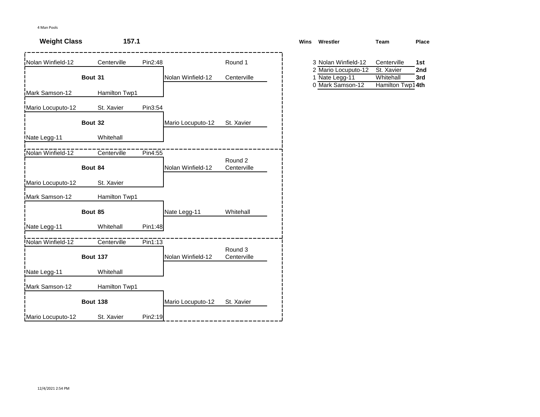| <b>Weight Class</b> | 157.1           |         |                   |                        | <b>Wins</b> | Wrestler                                   | Team                          | Place      |
|---------------------|-----------------|---------|-------------------|------------------------|-------------|--------------------------------------------|-------------------------------|------------|
| Nolan Winfield-12   | Centerville     | Pin2:48 |                   | Round 1                |             | 3 Nolan Winfield-12<br>2 Mario Locuputo-12 | Centerville<br>St. Xavier     | 1st<br>2nd |
|                     | Bout 31         |         | Nolan Winfield-12 | Centerville            | 1           | Nate Legg-11<br>0 Mark Samson-12           | Whitehall<br>Hamilton Twp14th | 3rd        |
| Mark Samson-12      | Hamilton Twp1   |         |                   |                        |             |                                            |                               |            |
| Mario Locuputo-12   | St. Xavier      | Pin3:54 |                   |                        |             |                                            |                               |            |
|                     | Bout 32         |         | Mario Locuputo-12 | St. Xavier             |             |                                            |                               |            |
| Nate Legg-11        | Whitehall       |         |                   |                        |             |                                            |                               |            |
| Nolan Winfield-12   | Centerville     | Pin4:55 |                   |                        |             |                                            |                               |            |
|                     | Bout 84         |         | Nolan Winfield-12 | Round 2<br>Centerville |             |                                            |                               |            |
| Mario Locuputo-12   | St. Xavier      |         |                   |                        |             |                                            |                               |            |
| Mark Samson-12      | Hamilton Twp1   |         |                   |                        |             |                                            |                               |            |
|                     | Bout 85         |         | Nate Legg-11      | Whitehall              |             |                                            |                               |            |
| Nate Legg-11        | Whitehall       | Pin1:48 |                   |                        |             |                                            |                               |            |
| Nolan Winfield-12   | Centerville     | Pin1:13 |                   |                        |             |                                            |                               |            |
|                     | <b>Bout 137</b> |         | Nolan Winfield-12 | Round 3<br>Centerville |             |                                            |                               |            |
| Nate Legg-11        | Whitehall       |         |                   |                        |             |                                            |                               |            |
| Mark Samson-12      | Hamilton Twp1   |         |                   |                        |             |                                            |                               |            |
|                     | <b>Bout 138</b> |         | Mario Locuputo-12 | St. Xavier             |             |                                            |                               |            |
| Mario Locuputo-12   | St. Xavier      | Pin2:19 |                   |                        |             |                                            |                               |            |

| ٦S | Wrestler            | Team             | Place |
|----|---------------------|------------------|-------|
|    | 3 Nolan Winfield-12 | Centerville      | 1st   |
|    | 2 Mario Locuputo-12 | St. Xavier       | 2nd   |
|    | 1 Nate Legg-11      | Whitehall        | 3rd   |
|    | 0 Mark Samson-12    | Hamilton Twp14th |       |
|    |                     |                  |       |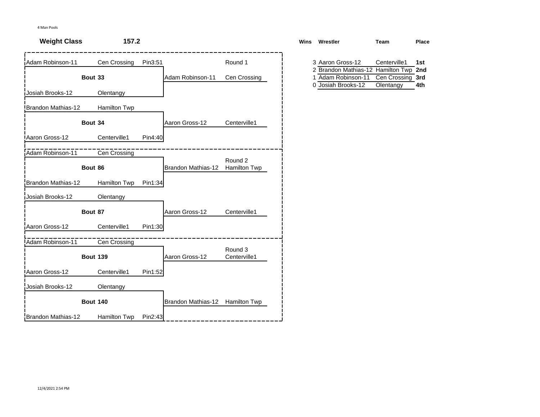| <b>Weight Class</b>   | 157.2           |         |                                 |                         | <b>Wins</b> | Wrestler                                              | <b>Team</b>      | Place      |
|-----------------------|-----------------|---------|---------------------------------|-------------------------|-------------|-------------------------------------------------------|------------------|------------|
| Adam Robinson-11      | Cen Crossing    | Pin3:51 |                                 | Round 1                 |             | 3 Aaron Gross-12<br>2 Brandon Mathias-12 Hamilton Twp | Centerville1     | 1st<br>2nd |
|                       | Bout 33         |         | Adam Robinson-11                | Cen Crossing            |             | 1 Adam Robinson-11                                    | Cen Crossing 3rd |            |
| Josiah Brooks-12      | Olentangy       |         |                                 |                         |             | 0 Josiah Brooks-12                                    | Olentangy        | 4th        |
| Brandon Mathias-12    | Hamilton Twp    |         |                                 |                         |             |                                                       |                  |            |
|                       | Bout 34         |         | Aaron Gross-12                  | Centerville1            |             |                                                       |                  |            |
| <b>Aaron Gross-12</b> | Centerville1    | Pin4:40 |                                 |                         |             |                                                       |                  |            |
| Adam Robinson-11      | Cen Crossing    |         |                                 | Round 2                 |             |                                                       |                  |            |
|                       | Bout 86         |         | Brandon Mathias-12              | Hamilton Twp            |             |                                                       |                  |            |
| Brandon Mathias-12    | Hamilton Twp    | Pin1:34 |                                 |                         |             |                                                       |                  |            |
| Josiah Brooks-12      | Olentangy       |         |                                 |                         |             |                                                       |                  |            |
|                       | Bout 87         |         | Aaron Gross-12                  | Centerville1            |             |                                                       |                  |            |
| Aaron Gross-12        | Centerville1    | Pin1:30 |                                 |                         |             |                                                       |                  |            |
| Adam Robinson-11      | Cen Crossing    |         |                                 |                         |             |                                                       |                  |            |
|                       | <b>Bout 139</b> |         | Aaron Gross-12                  | Round 3<br>Centerville1 |             |                                                       |                  |            |
| Aaron Gross-12        | Centerville1    | Pin1:52 |                                 |                         |             |                                                       |                  |            |
| Josiah Brooks-12      | Olentangy       |         |                                 |                         |             |                                                       |                  |            |
|                       | <b>Bout 140</b> |         | Brandon Mathias-12 Hamilton Twp |                         |             |                                                       |                  |            |
| Brandon Mathias-12    | Hamilton Twp    | Pin2:43 |                                 |                         |             |                                                       |                  |            |

| ٦S | Wrestler                              | Team             | Place |
|----|---------------------------------------|------------------|-------|
|    |                                       |                  |       |
|    | 3 Aaron Gross-12                      | Centerville1     | 1st   |
|    | 2 Brandon Mathias-12 Hamilton Twp 2nd |                  |       |
|    | 1 Adam Robinson-11                    | Cen Crossing 3rd |       |
|    | 0 Josiah Brooks-12                    | Olentangy        | 4th   |
|    |                                       |                  |       |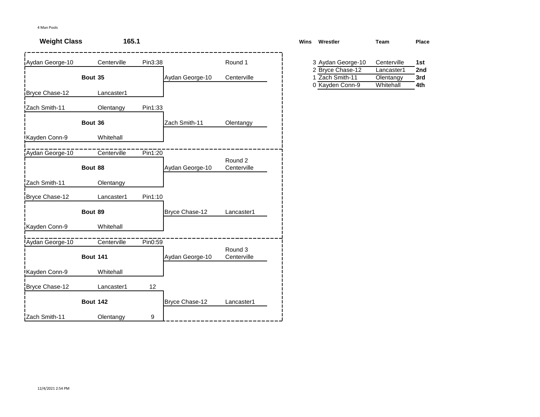| <b>Weight Class</b> | 165.1           |         |                 |                        | Wins | Wrestler                            | <b>Team</b>             | Pla        |
|---------------------|-----------------|---------|-----------------|------------------------|------|-------------------------------------|-------------------------|------------|
| Aydan George-10     | Centerville     | Pin3:38 |                 | Round 1                |      | 3 Aydan George-10                   | Centerville             | 1st        |
|                     | Bout 35         |         | Aydan George-10 | Centerville            |      | 2 Bryce Chase-12<br>1 Zach Smith-11 | Lancaster1<br>Olentangy | 2nc<br>3rd |
| Bryce Chase-12      | Lancaster1      |         |                 |                        |      | 0 Kayden Conn-9                     | Whitehall               | 4th        |
| Zach Smith-11       | Olentangy       | Pin1:33 |                 |                        |      |                                     |                         |            |
|                     | Bout 36         |         | Zach Smith-11   | Olentangy              |      |                                     |                         |            |
| Kayden Conn-9       | Whitehall       |         |                 |                        |      |                                     |                         |            |
| Aydan George-10     | Centerville     | Pin1:20 |                 |                        |      |                                     |                         |            |
|                     | Bout 88         |         | Aydan George-10 | Round 2<br>Centerville |      |                                     |                         |            |
| Zach Smith-11       | Olentangy       |         |                 |                        |      |                                     |                         |            |
| Bryce Chase-12      | Lancaster1      | Pin1:10 |                 |                        |      |                                     |                         |            |
|                     | Bout 89         |         | Bryce Chase-12  | Lancaster1             |      |                                     |                         |            |
| Kayden Conn-9       | Whitehall       |         |                 |                        |      |                                     |                         |            |
| Aydan George-10     | Centerville     | Pin0:59 |                 |                        |      |                                     |                         |            |
|                     | <b>Bout 141</b> |         | Aydan George-10 | Round 3<br>Centerville |      |                                     |                         |            |
| Kayden Conn-9       | Whitehall       |         |                 |                        |      |                                     |                         |            |
| Bryce Chase-12      | Lancaster1      | 12      |                 |                        |      |                                     |                         |            |
|                     | <b>Bout 142</b> |         | Bryce Chase-12  | Lancaster1             |      |                                     |                         |            |
| Zach Smith-11       | Olentangy       | 9       |                 |                        |      |                                     |                         |            |

| Wins | Wrestler          | Team        | Place |
|------|-------------------|-------------|-------|
|      | 3 Aydan George-10 | Centerville | 1st   |
|      | 2 Bryce Chase-12  | Lancaster1  | 2nd   |
|      | 1 Zach Smith-11   | Olentangy   | 3rd   |
|      | 0 Kayden Conn-9   | Whitehall   | 4th   |
|      |                   |             |       |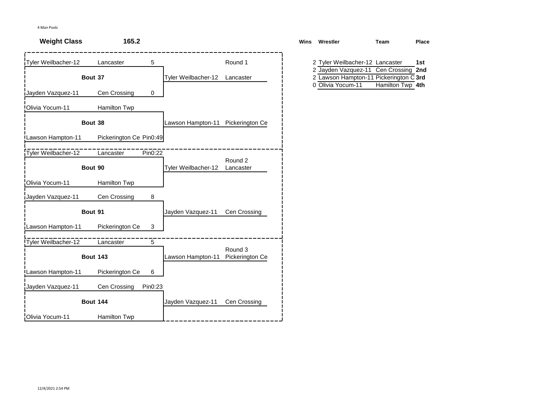| <b>Weight Class</b> | 165.2                       |                                   |                 | Wins Wrestler                                                           | Team             | <b>Place</b> |
|---------------------|-----------------------------|-----------------------------------|-----------------|-------------------------------------------------------------------------|------------------|--------------|
| Tyler Weilbacher-12 | 5<br>Lancaster              |                                   | Round 1         | 2 Tyler Weilbacher-12 Lancaster<br>2 Jayden Vazquez-11 Cen Crossing 2nd |                  | 1st          |
|                     | Bout 37                     | Tyler Weilbacher-12               | Lancaster       | 2 Lawson Hampton-11 Pickerington C 3rd<br>0 Olivia Yocum-11             | Hamilton Twp 4th |              |
| Jayden Vazquez-11   | Cen Crossing<br>$\mathbf 0$ |                                   |                 |                                                                         |                  |              |
| Olivia Yocum-11     | Hamilton Twp                |                                   |                 |                                                                         |                  |              |
|                     | Bout 38                     | Lawson Hampton-11 Pickerington Ce |                 |                                                                         |                  |              |
| Lawson Hampton-11   | Pickerington Ce Pin0:49     |                                   |                 |                                                                         |                  |              |
| Tyler Weilbacher-12 | Pin0:22<br>Lancaster        |                                   | Round 2         |                                                                         |                  |              |
|                     | Bout 90                     | Tyler Weilbacher-12               | Lancaster       |                                                                         |                  |              |
| Olivia Yocum-11     | Hamilton Twp                |                                   |                 |                                                                         |                  |              |
| Jayden Vazquez-11   | Cen Crossing<br>8           |                                   |                 |                                                                         |                  |              |
|                     | Bout 91                     | Jayden Vazquez-11                 | Cen Crossing    |                                                                         |                  |              |
| Lawson Hampton-11   | 3<br>Pickerington Ce        |                                   |                 |                                                                         |                  |              |
| Tyler Weilbacher-12 | 5<br>Lancaster              |                                   | Round 3         |                                                                         |                  |              |
|                     | <b>Bout 143</b>             | Lawson Hampton-11                 | Pickerington Ce |                                                                         |                  |              |
| Lawson Hampton-11   | Pickerington Ce<br>6        |                                   |                 |                                                                         |                  |              |
| Jayden Vazquez-11   | Pin0:23<br>Cen Crossing     |                                   |                 |                                                                         |                  |              |
|                     | <b>Bout 144</b>             | Jayden Vazquez-11                 | Cen Crossing    |                                                                         |                  |              |
| Olivia Yocum-11     | Hamilton Twp                |                                   |                 |                                                                         |                  |              |

| Wrestler          | Team | Place                                                                                                                                 |
|-------------------|------|---------------------------------------------------------------------------------------------------------------------------------------|
|                   |      |                                                                                                                                       |
|                   |      | 1st                                                                                                                                   |
|                   |      |                                                                                                                                       |
|                   |      |                                                                                                                                       |
| 0 Olivia Yocum-11 |      |                                                                                                                                       |
|                   |      |                                                                                                                                       |
|                   |      | 2 Tyler Weilbacher-12 Lancaster<br>2 Jayden Vazquez-11 Cen Crossing 2nd<br>2 Lawson Hampton-11 Pickerington C 3rd<br>Hamilton Twp 4th |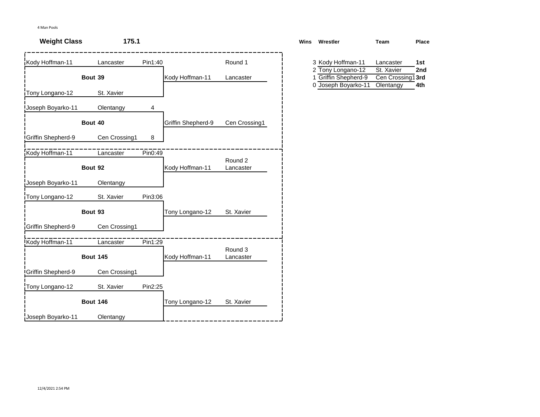| <b>Weight Class</b>       | 175.1           |         |                    |                      | <b>Wins</b> | Wrestler                               | Team                    | Place      |
|---------------------------|-----------------|---------|--------------------|----------------------|-------------|----------------------------------------|-------------------------|------------|
| Kody Hoffman-11           | Lancaster       | Pin1:40 |                    | Round 1              |             | 3 Kody Hoffman-11<br>2 Tony Longano-12 | Lancaster<br>St. Xavier | 1st<br>2nd |
|                           | Bout 39         |         | Kody Hoffman-11    | Lancaster            | 0           | Griffin Shepherd-9                     | Cen Crossing1 3rd       |            |
| Tony Longano-12           | St. Xavier      |         |                    |                      |             | Joseph Boyarko-11                      | Olentangy               | 4th        |
| Joseph Boyarko-11         | Olentangy       | 4       |                    |                      |             |                                        |                         |            |
|                           | Bout 40         |         | Griffin Shepherd-9 | Cen Crossing1        |             |                                        |                         |            |
| <b>Griffin Shepherd-9</b> | Cen Crossing1   | 8       |                    |                      |             |                                        |                         |            |
| Kody Hoffman-11           | Lancaster       | Pin0:49 |                    |                      |             |                                        |                         |            |
|                           | Bout 92         |         | Kody Hoffman-11    | Round 2<br>Lancaster |             |                                        |                         |            |
| Joseph Boyarko-11         | Olentangy       |         |                    |                      |             |                                        |                         |            |
| Tony Longano-12           | St. Xavier      | Pin3:06 |                    |                      |             |                                        |                         |            |
|                           | Bout 93         |         | Tony Longano-12    | St. Xavier           |             |                                        |                         |            |
| Griffin Shepherd-9        | Cen Crossing1   |         |                    |                      |             |                                        |                         |            |
| Kody Hoffman-11           | Lancaster       | Pin1:29 |                    |                      |             |                                        |                         |            |
|                           | <b>Bout 145</b> |         | Kody Hoffman-11    | Round 3<br>Lancaster |             |                                        |                         |            |
| <b>Griffin Shepherd-9</b> | Cen Crossing1   |         |                    |                      |             |                                        |                         |            |
| Tony Longano-12           | St. Xavier      | Pin2:25 |                    |                      |             |                                        |                         |            |
|                           | <b>Bout 146</b> |         | Tony Longano-12    | St. Xavier           |             |                                        |                         |            |
| Joseph Boyarko-11         | Olentangy       |         |                    |                      |             |                                        |                         |            |

| ns | Wrestler             | Team             | Place |
|----|----------------------|------------------|-------|
|    |                      |                  |       |
|    | 3 Kody Hoffman-11    | Lancaster        | 1st   |
|    | 2 Tony Longano-12    | St. Xavier       | 2nd   |
|    | 1 Griffin Shepherd-9 | Cen Crossing13rd |       |
|    | 0 Joseph Boyarko-11  | Olentangy        | 4th   |
|    |                      |                  |       |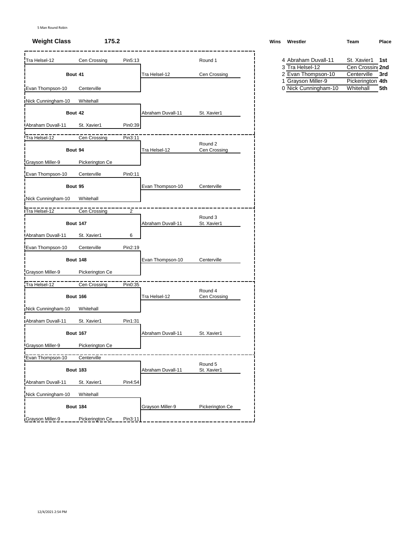### **Weight Class 175.2**

| Tra Helsel-12             | Cen Crossing    | Pin5:13 |                   | Round 1                 | 4 Abraham Duvall-11                        | St. Xavier1                   | 1st |
|---------------------------|-----------------|---------|-------------------|-------------------------|--------------------------------------------|-------------------------------|-----|
|                           |                 |         |                   |                         | 3 Tra Helsel-12                            | Cen Crossin 2nd               |     |
| Bout 41                   |                 |         | Tra Helsel-12     | Cen Crossing            | 2 Evan Thompson-10                         | Centerville                   | 3rd |
| Evan Thompson-10          | Centerville     |         |                   |                         | 1 Grayson Miller-9<br>0 Nick Cunningham-10 | Pickerington 4th<br>Whitehall | 5th |
| Nick Cunningham-10        | Whitehall       |         |                   |                         |                                            |                               |     |
| Bout 42                   |                 |         | Abraham Duvall-11 | St. Xavier1             |                                            |                               |     |
| Abraham Duvall-11         | St. Xavier1     | Pin0:39 |                   |                         |                                            |                               |     |
| Tra Helsel-12             | Cen Crossing    | Pin3:11 |                   |                         |                                            |                               |     |
| Bout 94                   |                 |         | Tra Helsel-12     | Round 2<br>Cen Crossing |                                            |                               |     |
| Grayson Miller-9          | Pickerington Ce |         |                   |                         |                                            |                               |     |
| Evan Thompson-10          | Centerville     | Pin0:11 |                   |                         |                                            |                               |     |
| Bout 95                   |                 |         | Evan Thompson-10  | Centerville             |                                            |                               |     |
| Nick Cunningham-10        | Whitehall       |         |                   |                         |                                            |                               |     |
|                           |                 |         |                   |                         |                                            |                               |     |
| Tra Helsel-12             | Cen Crossing    | 2       |                   | Round 3                 |                                            |                               |     |
|                           | <b>Bout 147</b> |         | Abraham Duvall-11 | St. Xavier1             |                                            |                               |     |
| Abraham Duvall-11         | St. Xavier1     | 6       |                   |                         |                                            |                               |     |
| Evan Thompson-10          | Centerville     | Pin2:19 |                   |                         |                                            |                               |     |
|                           | <b>Bout 148</b> |         | Evan Thompson-10  | Centerville             |                                            |                               |     |
| Grayson Miller-9          | Pickerington Ce |         |                   |                         |                                            |                               |     |
| Tra Helsel-12             | Cen Crossing    | Pin0:35 |                   |                         |                                            |                               |     |
|                           | <b>Bout 166</b> |         | Tra Helsel-12     | Round 4<br>Cen Crossing |                                            |                               |     |
| Nick Cunningham-10        | Whitehall       |         |                   |                         |                                            |                               |     |
| <b>IAbraham Duvall-11</b> | St. Xavier1     | Pin1:31 |                   |                         |                                            |                               |     |
|                           | <b>Bout 167</b> |         | Abraham Duvall-11 | St. Xavier1             |                                            |                               |     |
| Grayson Miller-9          | Pickerington Ce |         |                   |                         |                                            |                               |     |
| Evan Thompson-10          | Centerville     |         |                   |                         |                                            |                               |     |
|                           | <b>Bout 183</b> |         | Abraham Duvall-11 | Round 5<br>St. Xavier1  |                                            |                               |     |
| Abraham Duvall-11         | St. Xavier1     | Pin4:54 |                   |                         |                                            |                               |     |
| Nick Cunningham-10        | Whitehall       |         |                   |                         |                                            |                               |     |
|                           | <b>Bout 184</b> |         | Grayson Miller-9  | Pickerington Ce         |                                            |                               |     |
| Grayson Miller-9          | Pickerington Ce | Pin3:11 |                   |                         |                                            |                               |     |

| Wins Wrestler | Team | Place |
|---------------|------|-------|
|               |      |       |

| 4 Abraham Duvall-11  | St. Xavier1 1st  |  |
|----------------------|------------------|--|
| 3 Tra Helsel-12      | Cen Crossin, 2nd |  |
| 2 Evan Thompson-10   | Centerville 3rd  |  |
| 1 Grayson Miller-9   | Pickerington 4th |  |
| 0 Nick Cunningham-10 | Whitehall 5th    |  |
|                      |                  |  |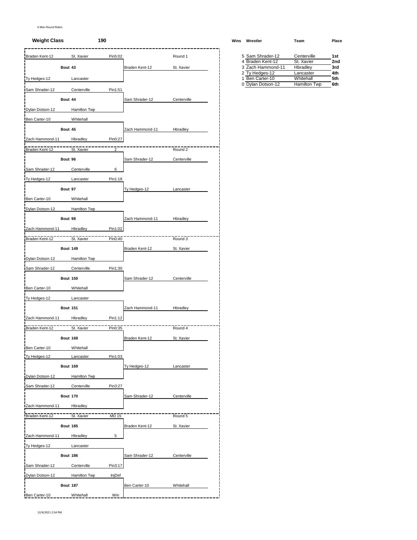### 6 Man Round Robin

### **Weight Class 190 Wins Wrestler Team Place**

| Braden Kent-12      |                 | St. Xavier          | Pin5:02        |                 | Round 1     | 5 Sam Shrader-12                      | Centerville                      | 1st        |
|---------------------|-----------------|---------------------|----------------|-----------------|-------------|---------------------------------------|----------------------------------|------------|
|                     | Bout 43         |                     |                | Braden Kent-12  | St. Xavier  | 4 Braden Kent-12<br>3 Zach Hammond-11 | St. Xavier<br>Hbradley           | 2no<br>3rd |
|                     |                 |                     |                |                 |             | 2 Ty Hedges-12                        | Lancaster                        | 4th        |
| Ty Hedges-12        |                 | Lancaster           |                |                 |             | 1 Ben Carter-10<br>0 Dylan Dotson-12  | Whitehall<br><b>Hamilton Twp</b> | 5th<br>6th |
| Sam Shrader-12      |                 | Centerville         | Pin1:51        |                 |             |                                       |                                  |            |
|                     | Bout 44         |                     |                | Sam Shrader-12  | Centerville |                                       |                                  |            |
| Dylan Dotson-12     |                 | Hamilton Twp        |                |                 |             |                                       |                                  |            |
| Ben Carter-10       |                 | Whitehall           |                |                 |             |                                       |                                  |            |
|                     | Bout 45         |                     |                | Zach Hammond-11 | Hbradley    |                                       |                                  |            |
| Zach Hammond-11     |                 | Hbradley            | Pin0:27        |                 |             |                                       |                                  |            |
| Braden Kent-12      |                 | St. Xavier          | $\overline{2}$ |                 | Round 2     |                                       |                                  |            |
|                     | Bout 96         |                     |                | Sam Shrader-12  | Centerville |                                       |                                  |            |
| Sam Shrader-12      |                 | Centerville         | 6              |                 |             |                                       |                                  |            |
| <b>Ty Hedges-12</b> |                 | Lancaster           | Pin1:18        |                 |             |                                       |                                  |            |
|                     | Bout 97         |                     |                | Ty Hedges-12    | Lancaster   |                                       |                                  |            |
| Ben Carter-10       |                 | Whitehall           |                |                 |             |                                       |                                  |            |
|                     |                 |                     |                |                 |             |                                       |                                  |            |
| Dylan Dotson-12     |                 | <b>Hamilton Twp</b> |                |                 |             |                                       |                                  |            |
|                     | Bout 98         |                     |                | Zach Hammond-11 | Hbradley    |                                       |                                  |            |
| Zach Hammond-11     |                 | Hbradley            | Pin1:02        |                 |             |                                       |                                  |            |
| Braden Kent-12      |                 | St. Xavier          | Pin0:40        |                 | Round 3     |                                       |                                  |            |
|                     | <b>Bout 149</b> |                     |                | Braden Kent-12  | St. Xavier  |                                       |                                  |            |
| Dylan Dotson-12     |                 | Hamilton Twp        |                |                 |             |                                       |                                  |            |
| Sam Shrader-12      |                 | Centerville         | Pin1:30        |                 |             |                                       |                                  |            |
|                     | <b>Bout 150</b> |                     |                | Sam Shrader-12  | Centerville |                                       |                                  |            |
| Ben Carter-10       |                 | Whitehall           |                |                 |             |                                       |                                  |            |
| Ty Hedges-12        |                 | Lancaster           |                |                 |             |                                       |                                  |            |
|                     | <b>Bout 151</b> |                     |                | Zach Hammond-11 | Hbradley    |                                       |                                  |            |
| Zach Hammond-11     |                 | Hbradley            | Pin1:12        |                 |             |                                       |                                  |            |
| Braden Kent-12      |                 | St. Xavier          | Pin0:35        |                 | Round 4     |                                       |                                  |            |
|                     | <b>Bout 168</b> |                     |                | Braden Kent-12  | St. Xavier  |                                       |                                  |            |
| Ben Carter-10       |                 | Whitehall           |                |                 |             |                                       |                                  |            |
| Ty Hedges-12        |                 | Lancaster           | Pin1:03        |                 |             |                                       |                                  |            |
|                     | <b>Bout 169</b> |                     |                | Ty Hedges-12    | Lancaster   |                                       |                                  |            |
| Dylan Dotson-12     |                 | Hamilton Twp        |                |                 |             |                                       |                                  |            |
| Sam Shrader-12      |                 | Centerville         | Pin3:27        |                 |             |                                       |                                  |            |
|                     | <b>Bout 170</b> |                     |                | Sam Shrader-12  | Centerville |                                       |                                  |            |
|                     |                 |                     |                |                 |             |                                       |                                  |            |
| Zach Hammond-11     |                 | Hbradley            |                |                 |             |                                       |                                  |            |
| Braden Kent-12      |                 | St. Xavier          | <b>MD 15</b>   |                 | Round 5     |                                       |                                  |            |
|                     | <b>Bout 185</b> |                     |                | Braden Kent-12  | St. Xavier  |                                       |                                  |            |
| Zach Hammond-11     |                 | <b>Hbradley</b>     | 5              |                 |             |                                       |                                  |            |
| Ty Hedges-12        |                 | Lancaster           |                |                 |             |                                       |                                  |            |
|                     | Bout 186        |                     |                | Sam Shrader-12  | Centerville |                                       |                                  |            |
| Sam Shrader-12      |                 | Centerville         | Pin3:17        |                 |             |                                       |                                  |            |
| Dylan Dotson-12     |                 | <b>Hamilton Twp</b> | <b>InjDef</b>  |                 |             |                                       |                                  |            |
|                     | <b>Bout 187</b> |                     |                | Ben Carter-10   | Whitehall   |                                       |                                  |            |
| Ben Carter-10       |                 | Whitehall           | Win            |                 |             |                                       |                                  |            |

| 5 Sam Shrader-12  | Centerville         | 1st             |
|-------------------|---------------------|-----------------|
| 4 Braden Kent-12  | St. Xavier          | 2 <sub>nd</sub> |
| 3 Zach Hammond-11 | Hbradley            | 3rd             |
| 2 Ty Hedges-12    | Lancaster           | 4th             |
| 1 Ben Carter-10   | Whitehall           | 5th             |
| 0 Dylan Dotson-12 | <b>Hamilton Twp</b> | 6th             |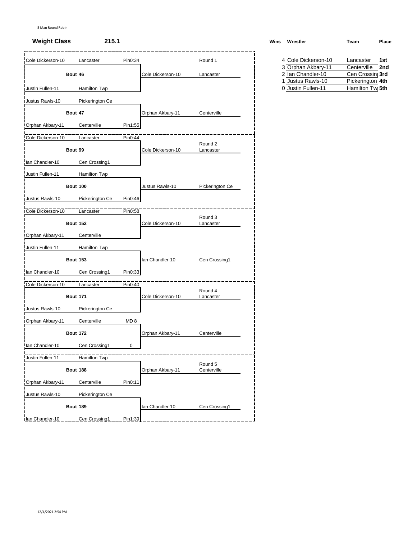| Cole Dickerson-10 | Lancaster           | Pin0:34         |                   | Round 1                | 4 Cole Dickerson-10                   | Lancaster                                        | 1st |
|-------------------|---------------------|-----------------|-------------------|------------------------|---------------------------------------|--------------------------------------------------|-----|
|                   |                     |                 |                   |                        | 3 Orphan Akbary-11                    | Centerville                                      | 2nc |
|                   | Bout 46             |                 | Cole Dickerson-10 | Lancaster              | 2 Ian Chandler-10<br>1                | Cen Crossing 3rd                                 |     |
| Justin Fullen-11  | Hamilton Twp        |                 |                   |                        | Justus Rawls-10<br>0 Justin Fullen-11 | Pickerington 4th<br>Hamilton Tw <sub>l</sub> 5th |     |
| Justus Rawls-10   | Pickerington Ce     |                 |                   |                        |                                       |                                                  |     |
|                   | Bout 47             |                 | Orphan Akbary-11  | Centerville            |                                       |                                                  |     |
| Orphan Akbary-11  | Centerville         | Pin1:55         |                   |                        |                                       |                                                  |     |
| Cole Dickerson-10 | Lancaster           | Pin0:44         |                   |                        |                                       |                                                  |     |
|                   | Bout 99             |                 | Cole Dickerson-10 | Round 2<br>Lancaster   |                                       |                                                  |     |
| lan Chandler-10   | Cen Crossing1       |                 |                   |                        |                                       |                                                  |     |
| Justin Fullen-11  | Hamilton Twp        |                 |                   |                        |                                       |                                                  |     |
|                   | <b>Bout 100</b>     |                 | Justus Rawls-10   | Pickerington Ce        |                                       |                                                  |     |
| Justus Rawls-10   | Pickerington Ce     | Pin0:46         |                   |                        |                                       |                                                  |     |
| Cole Dickerson-10 | Lancaster           | Pin0:58         |                   |                        |                                       |                                                  |     |
|                   | <b>Bout 152</b>     |                 | Cole Dickerson-10 | Round 3<br>Lancaster   |                                       |                                                  |     |
| Orphan Akbary-11  | Centerville         |                 |                   |                        |                                       |                                                  |     |
| Justin Fullen-11  | <b>Hamilton Twp</b> |                 |                   |                        |                                       |                                                  |     |
|                   | <b>Bout 153</b>     |                 | lan Chandler-10   | Cen Crossing1          |                                       |                                                  |     |
| lan Chandler-10   | Cen Crossing1       | Pin0:33         |                   |                        |                                       |                                                  |     |
| Cole Dickerson-10 | Lancaster           | Pin0:40         |                   |                        |                                       |                                                  |     |
|                   | <b>Bout 171</b>     |                 | Cole Dickerson-10 | Round 4<br>Lancaster   |                                       |                                                  |     |
| Justus Rawls-10   | Pickerington Ce     |                 |                   |                        |                                       |                                                  |     |
| Orphan Akbary-11  | Centerville         | MD <sub>8</sub> |                   |                        |                                       |                                                  |     |
|                   | <b>Bout 172</b>     |                 | Orphan Akbary-11  | Centerville            |                                       |                                                  |     |
| lan Chandler-10   | Cen Crossing1       | 0               |                   |                        |                                       |                                                  |     |
| Justin Fullen-11  | Hamilton Twp        |                 |                   |                        |                                       |                                                  |     |
|                   | <b>Bout 188</b>     |                 | Orphan Akbary-11  | Round 5<br>Centerville |                                       |                                                  |     |
| Orphan Akbary-11  | Centerville         | Pin0:11         |                   |                        |                                       |                                                  |     |
| Justus Rawls-10   | Pickerington Ce     |                 |                   |                        |                                       |                                                  |     |
|                   | <b>Bout 189</b>     |                 | Ian Chandler-10   | Cen Crossing1          |                                       |                                                  |     |
| Ian Chandler-10   | Cen Crossing1       | Pin1:39         |                   |                        |                                       |                                                  |     |

# **Weight Class 215.1 Wins Wrestler Team Place** Cole Dickerson-10 Lancaster Pin0:34 Round 1 4 Cole Dickerson-10 Lancaster **1st**

| 4 COIP DICKEISON-TO | Lancaster        | 15L |
|---------------------|------------------|-----|
| 3 Orphan Akbary-11  | Centerville      | 2nd |
| 2 Ian Chandler-10   | Cen Crossing 3rd |     |
| 1 Justus Rawls-10   | Pickerington 4th |     |
| 0 Justin Fullen-11  | Hamilton Twi 5th |     |
|                     |                  |     |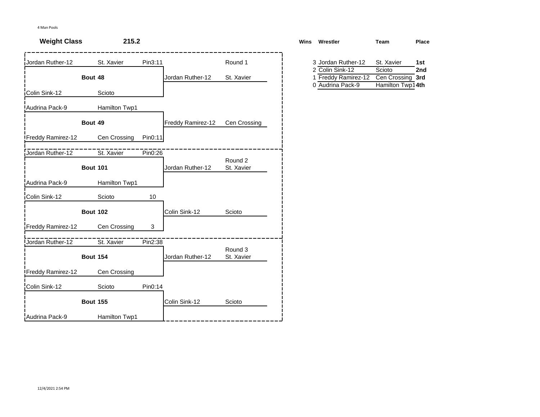| <b>Weight Class</b>      | 215.2           |         |                   |              | Wins Wrestler                                              | Team                       | Place |
|--------------------------|-----------------|---------|-------------------|--------------|------------------------------------------------------------|----------------------------|-------|
| Jordan Ruther-12         | St. Xavier      | Pin3:11 |                   | Round 1      | 3 Jordan Ruther-12                                         | St. Xavier                 | 1st   |
|                          | Bout 48         |         | Jordan Ruther-12  | St. Xavier   | 2 Colin Sink-12<br>1 Freddy Ramirez-12<br>0 Audrina Pack-9 | Scioto<br>Cen Crossing 3rd | 2nd   |
| Colin Sink-12            | Scioto          |         |                   |              |                                                            | Hamilton Twp14th           |       |
| Audrina Pack-9           | Hamilton Twp1   |         |                   |              |                                                            |                            |       |
|                          | Bout 49         |         | Freddy Ramirez-12 | Cen Crossing |                                                            |                            |       |
| Freddy Ramirez-12        | Cen Crossing    | Pin0:11 |                   |              |                                                            |                            |       |
| Jordan Ruther-12         | St. Xavier      | Pin0:26 |                   | Round 2      |                                                            |                            |       |
|                          | <b>Bout 101</b> |         | Jordan Ruther-12  | St. Xavier   |                                                            |                            |       |
| Audrina Pack-9           | Hamilton Twp1   |         |                   |              |                                                            |                            |       |
| Colin Sink-12            | Scioto          | 10      |                   |              |                                                            |                            |       |
|                          | <b>Bout 102</b> |         | Colin Sink-12     | Scioto       |                                                            |                            |       |
| Freddy Ramirez-12        | Cen Crossing    | 3       |                   |              |                                                            |                            |       |
| Jordan Ruther-12         | St. Xavier      | Pin2:38 |                   | Round 3      |                                                            |                            |       |
|                          | <b>Bout 154</b> |         | Jordan Ruther-12  | St. Xavier   |                                                            |                            |       |
| <b>Freddy Ramirez-12</b> | Cen Crossing    |         |                   |              |                                                            |                            |       |
| Colin Sink-12            | Scioto          | Pin0:14 |                   |              |                                                            |                            |       |
|                          | <b>Bout 155</b> |         | Colin Sink-12     | Scioto       |                                                            |                            |       |
| Audrina Pack-9           | Hamilton Twp1   |         |                   |              |                                                            |                            |       |

| ns | Wrestler            | Team             | Place |
|----|---------------------|------------------|-------|
|    | 3 Jordan Ruther-12  | St. Xavier       | 1st   |
|    | 2 Colin Sink-12     | Scioto           | 2nd   |
|    | 1 Freddy Ramirez-12 | Cen Crossing 3rd |       |
|    | 0 Audrina Pack-9    | Hamilton Twp14th |       |
|    |                     |                  |       |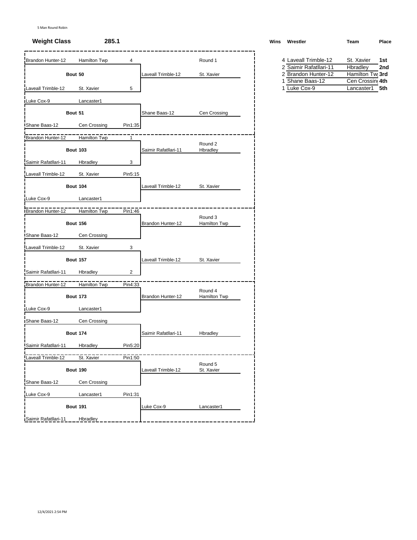## **Weight Class 285.1 Weight Class 285.1 Wins Wins Wins Wins Wins Wins Wins Class Place**

| Brandon Hunter-12    | Hamilton Twp    | 4              |                      | Round 1                 | 4 Laveall Trimble-12                 | St. Xavier<br>1st                                |
|----------------------|-----------------|----------------|----------------------|-------------------------|--------------------------------------|--------------------------------------------------|
|                      |                 |                |                      |                         | 2 Saimir Rafatllari-11               | Hbradley<br>2nc                                  |
|                      | Bout 50         |                | Laveall Trimble-12   | St. Xavier              | 2 Brandon Hunter-12<br>Shane Baas-12 | Hamilton Tw <sub>1</sub> 3rd<br>Cen Crossing 4th |
| Laveall Trimble-12   | St. Xavier      | 5              |                      |                         | 1 Luke Cox-9                         | Lancaster1<br>5th                                |
| Luke Cox-9           | Lancaster1      |                |                      |                         |                                      |                                                  |
|                      | Bout 51         |                | Shane Baas-12        | Cen Crossing            |                                      |                                                  |
| Shane Baas-12        | Cen Crossing    | Pin1:35        |                      |                         |                                      |                                                  |
| Brandon Hunter-12    | Hamilton Twp    | $\mathbf{1}$   |                      |                         |                                      |                                                  |
|                      | <b>Bout 103</b> |                | Saimir Rafatllari-11 | Round 2<br>Hbradley     |                                      |                                                  |
| Saimir Rafatllari-11 | Hbradley        | 3              |                      |                         |                                      |                                                  |
| Laveall Trimble-12   | St. Xavier      | Pin5:15        |                      |                         |                                      |                                                  |
|                      | <b>Bout 104</b> |                | Laveall Trimble-12   | St. Xavier              |                                      |                                                  |
| Luke Cox-9           | Lancaster1      |                |                      |                         |                                      |                                                  |
| Brandon Hunter-12    | Hamilton Twp    | Pin1:46        |                      |                         |                                      |                                                  |
|                      | <b>Bout 156</b> |                | Brandon Hunter-12    | Round 3<br>Hamilton Twp |                                      |                                                  |
| Shane Baas-12        | Cen Crossing    |                |                      |                         |                                      |                                                  |
| Laveall Trimble-12   | St. Xavier      | 3              |                      |                         |                                      |                                                  |
|                      | <b>Bout 157</b> |                | Laveall Trimble-12   | St. Xavier              |                                      |                                                  |
| Saimir Rafatllari-11 | Hbradley        | $\overline{c}$ |                      |                         |                                      |                                                  |
| Brandon Hunter-12    | Hamilton Twp    | Pin4:33        |                      |                         |                                      |                                                  |
|                      | <b>Bout 173</b> |                | Brandon Hunter-12    | Round 4<br>Hamilton Twp |                                      |                                                  |
| Luke Cox-9           | Lancaster1      |                |                      |                         |                                      |                                                  |
| Shane Baas-12        | Cen Crossing    |                |                      |                         |                                      |                                                  |
|                      | <b>Bout 174</b> |                | Saimir Rafatllari-11 | Hbradley                |                                      |                                                  |
| Saimir Rafatllari-11 | Hbradley        | Pin5:20        |                      |                         |                                      |                                                  |
| Laveall Trimble-12   | St. Xavier      | Pin1:50        |                      |                         |                                      |                                                  |
|                      | <b>Bout 190</b> |                | Laveall Trimble-12   | Round 5<br>St. Xavier   |                                      |                                                  |
| Shane Baas-12        | Cen Crossing    |                |                      |                         |                                      |                                                  |
| Luke Cox-9           | Lancaster1      | Pin1:31        |                      |                         |                                      |                                                  |
|                      | <b>Bout 191</b> |                | Luke Cox-9           | Lancaster1              |                                      |                                                  |
| Saimir Rafatllari-11 | Hbradley        |                |                      |                         |                                      |                                                  |

| /ins | Wrestler               | Team       | Place |
|------|------------------------|------------|-------|
|      | 4 Laveall Trimble-12   | St. Xavier | 1st   |
|      | 2 Saimir Rafatllari-11 | Hbradley   | 2nd   |

| 2 Jaillill Raidulall I I | <b>HUI dUICY</b> | <b>ZH</b> |
|--------------------------|------------------|-----------|
| 2 Brandon Hunter-12      | Hamilton Twi 3rd |           |
| 1 Shane Baas-12          | Cen Crossing 4th |           |
| 1 Luke Cox-9             | Lancaster1 5th   |           |